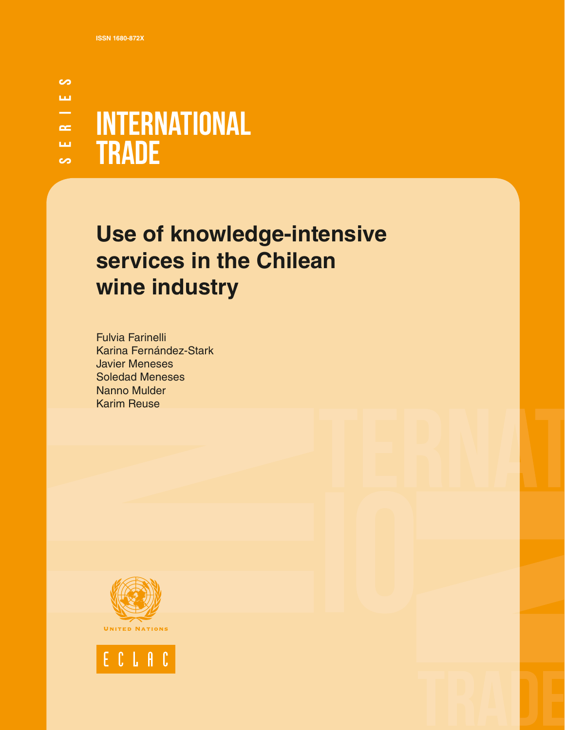### တ SERIES рū.  $\overline{\phantom{0}}$ INTERNATIONAL  $\approx$ **TRADE** ш.  $\sim$

# **Use of knowledge-intensive services in the Chilean wine industry**

Fulvia Farinelli Karina Fernández-Stark Javier Meneses Soledad Meneses Nanno Mulder Karim Reuse



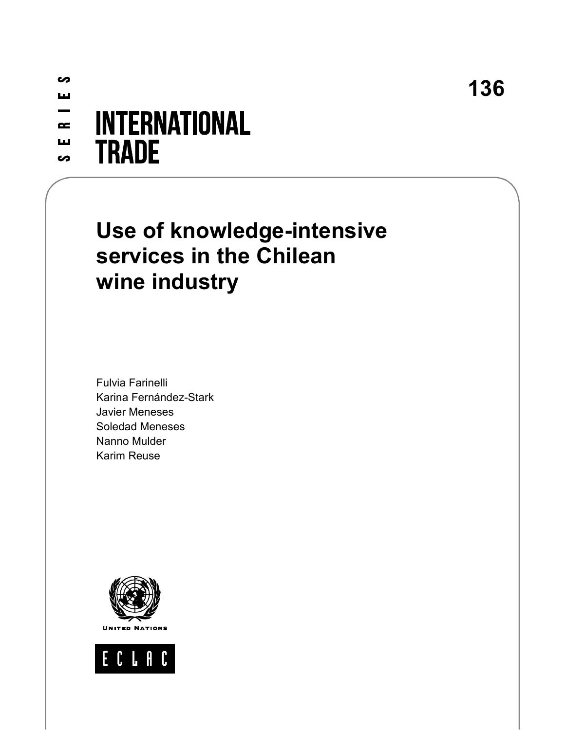**136**

### ပ ш -**INTERNATIONAL**  $\sim$ ш **TRADE** <u>တ</u>

# **Use of knowledge-intensive services in the Chilean wine industry**

Fulvia Farinelli Karina Fernández-Stark Javier Meneses Soledad Meneses Nanno Mulder Karim Reuse



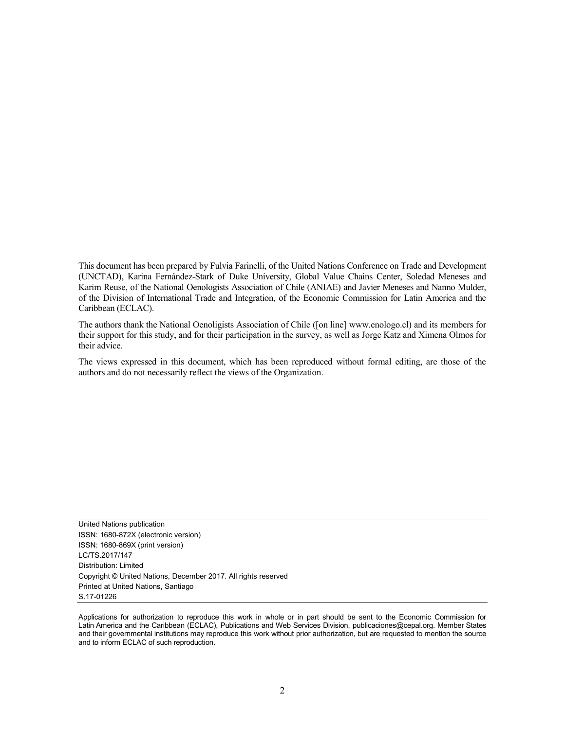This document has been prepared by Fulvia Farinelli, of the United Nations Conference on Trade and Development (UNCTAD), Karina Fernández-Stark of Duke University, Global Value Chains Center, Soledad Meneses and Karim Reuse, of the National Oenologists Association of Chile (ANIAE) and Javier Meneses and Nanno Mulder, of the Division of International Trade and Integration, of the Economic Commission for Latin America and the Caribbean (ECLAC).

The authors thank the National Oenoligists Association of Chile ([on line] www.enologo.cl) and its members for their support for this study, and for their participation in the survey, as well as Jorge Katz and Ximena Olmos for their advice.

The views expressed in this document, which has been reproduced without formal editing, are those of the authors and do not necessarily reflect the views of the Organization.

United Nations publication ISSN: 1680-872X (electronic version) ISSN: 1680-869X (print version) LC/TS.2017/147 Distribution: Limited Copyright © United Nations, December 2017. All rights reserved Printed at United Nations, Santiago S.17-01226

Applications for authorization to reproduce this work in whole or in part should be sent to the Economic Commission for Latin America and the Caribbean (ECLAC), Publications and Web Services Division, publicaciones@cepal.org. Member States and their governmental institutions may reproduce this work without prior authorization, but are requested to mention the source and to inform ECLAC of such reproduction.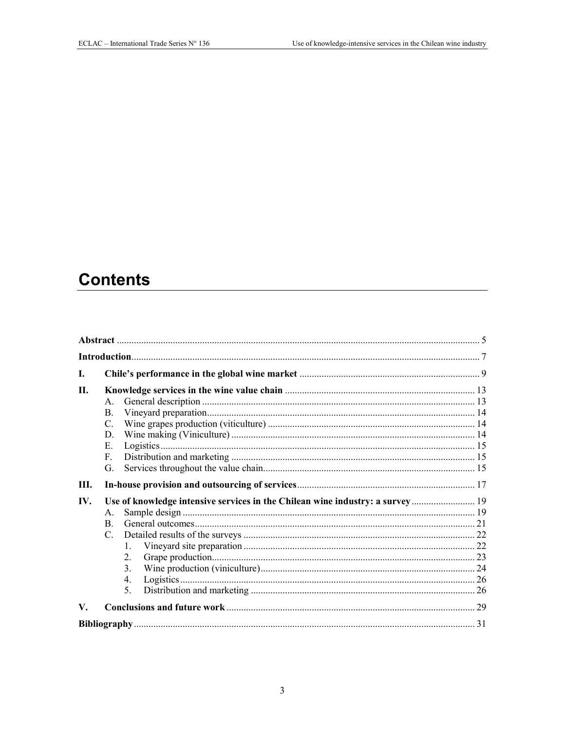# **Contents**

| L    |                                                                                                                                                 |  |
|------|-------------------------------------------------------------------------------------------------------------------------------------------------|--|
| II.  | $\mathbf{A}$ .<br>B.<br>C.<br>D.<br>Е.<br>$F_{\rm c}$<br>G.                                                                                     |  |
| III. |                                                                                                                                                 |  |
| IV.  | Use of knowledge intensive services in the Chilean wine industry: a survey 19<br>A.<br>B.<br>$\mathcal{C}$ .<br>1.<br>$2_{-}$<br>3.<br>4.<br>5. |  |
| V.   |                                                                                                                                                 |  |
|      |                                                                                                                                                 |  |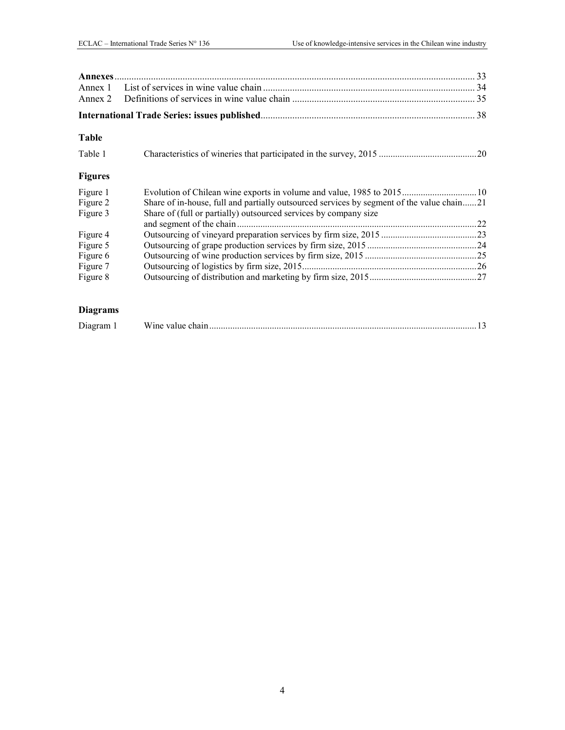| Annex 2        |                                                                                           |  |
|----------------|-------------------------------------------------------------------------------------------|--|
|                |                                                                                           |  |
| <b>Table</b>   |                                                                                           |  |
| Table 1        |                                                                                           |  |
| <b>Figures</b> |                                                                                           |  |
| Figure 1       |                                                                                           |  |
| Figure 2       | Share of in-house, full and partially outsourced services by segment of the value chain21 |  |
| Figure 3       | Share of (full or partially) outsourced services by company size                          |  |
|                |                                                                                           |  |
| Figure 4       |                                                                                           |  |
| Figure 5       |                                                                                           |  |
| Figure 6       |                                                                                           |  |
| Figure 7       |                                                                                           |  |
| Figure 8       |                                                                                           |  |
|                |                                                                                           |  |

### **Diagrams**

| Diagram |  |  |
|---------|--|--|
|---------|--|--|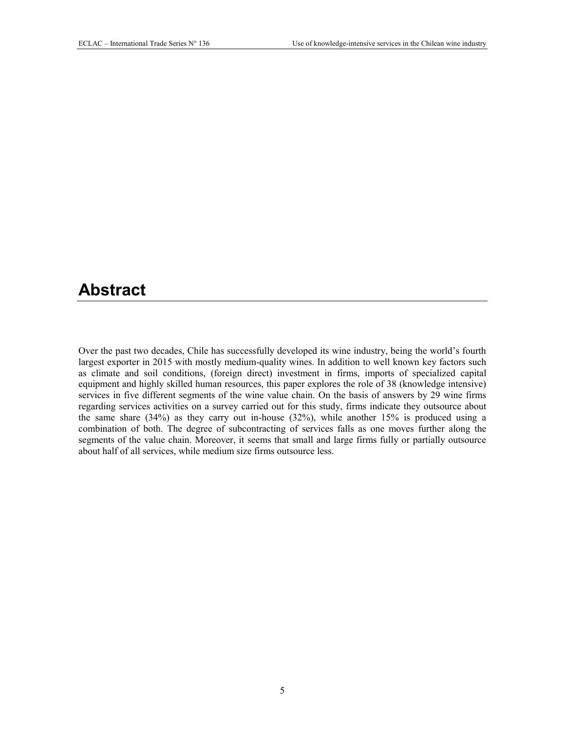# <span id="page-5-0"></span>**Abstract**

Over the past two decades, Chile has successfully developed its wine industry, being the world's fourth largest exporter in 2015 with mostly medium-quality wines. In addition to well known key factors such as climate and soil conditions, (foreign direct) investment in firms, imports of specialized capital equipment and highly skilled human resources, this paper explores the role of 38 (knowledge intensive) services in five different segments of the wine value chain. On the basis of answers by 29 wine firms regarding services activities on a survey carried out for this study, firms indicate they outsource about the same share (34%) as they carry out in-house (32%), while another 15% is produced using a combination of both. The degree of subcontracting of services falls as one moves further along the segments of the value chain. Moreover, it seems that small and large firms fully or partially outsource about half of all services, while medium size firms outsource less.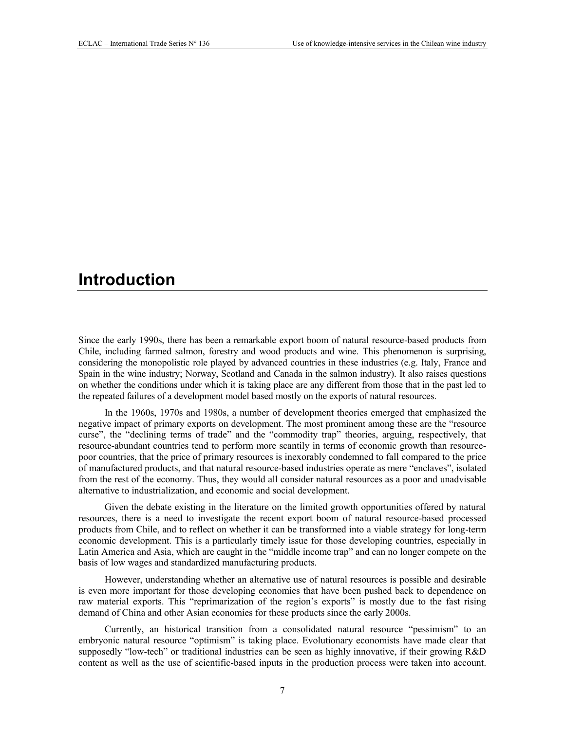# <span id="page-7-0"></span>**Introduction**

Since the early 1990s, there has been a remarkable export boom of natural resource-based products from Chile, including farmed salmon, forestry and wood products and wine. This phenomenon is surprising, considering the monopolistic role played by advanced countries in these industries (e.g. Italy, France and Spain in the wine industry; Norway, Scotland and Canada in the salmon industry). It also raises questions on whether the conditions under which it is taking place are any different from those that in the past led to the repeated failures of a development model based mostly on the exports of natural resources.

In the 1960s, 1970s and 1980s, a number of development theories emerged that emphasized the negative impact of primary exports on development. The most prominent among these are the "resource curse", the "declining terms of trade" and the "commodity trap" theories, arguing, respectively, that resource-abundant countries tend to perform more scantily in terms of economic growth than resourcepoor countries, that the price of primary resources is inexorably condemned to fall compared to the price of manufactured products, and that natural resource-based industries operate as mere "enclaves", isolated from the rest of the economy. Thus, they would all consider natural resources as a poor and unadvisable alternative to industrialization, and economic and social development.

Given the debate existing in the literature on the limited growth opportunities offered by natural resources, there is a need to investigate the recent export boom of natural resource-based processed products from Chile, and to reflect on whether it can be transformed into a viable strategy for long-term economic development. This is a particularly timely issue for those developing countries, especially in Latin America and Asia, which are caught in the "middle income trap" and can no longer compete on the basis of low wages and standardized manufacturing products.

However, understanding whether an alternative use of natural resources is possible and desirable is even more important for those developing economies that have been pushed back to dependence on raw material exports. This "reprimarization of the region's exports" is mostly due to the fast rising demand of China and other Asian economies for these products since the early 2000s.

Currently, an historical transition from a consolidated natural resource "pessimism" to an embryonic natural resource "optimism" is taking place. Evolutionary economists have made clear that supposedly "low-tech" or traditional industries can be seen as highly innovative, if their growing R&D content as well as the use of scientific-based inputs in the production process were taken into account.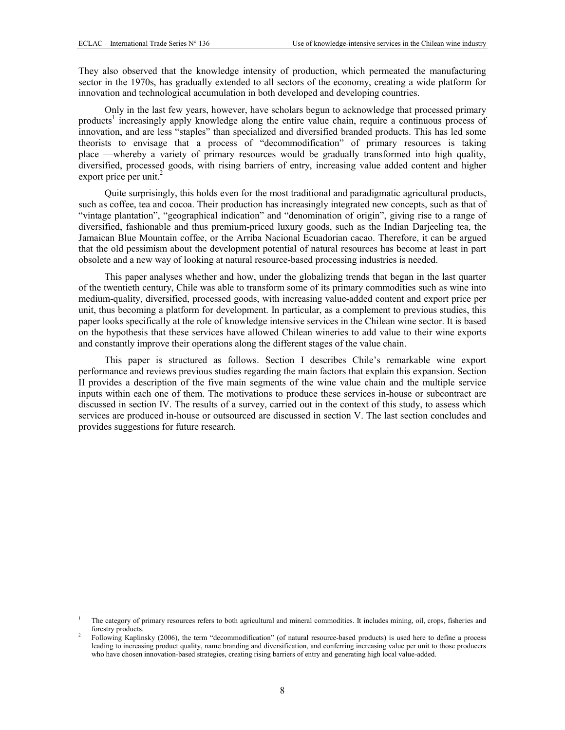-

They also observed that the knowledge intensity of production, which permeated the manufacturing sector in the 1970s, has gradually extended to all sectors of the economy, creating a wide platform for innovation and technological accumulation in both developed and developing countries.

Only in the last few years, however, have scholars begun to acknowledge that processed primary products<sup>1</sup> increasingly apply knowledge along the entire value chain, require a continuous process of innovation, and are less "staples" than specialized and diversified branded products. This has led some theorists to envisage that a process of "decommodification" of primary resources is taking place —whereby a variety of primary resources would be gradually transformed into high quality, diversified, processed goods, with rising barriers of entry, increasing value added content and higher export price per unit. $^{2}$ 

Quite surprisingly, this holds even for the most traditional and paradigmatic agricultural products, such as coffee, tea and cocoa. Their production has increasingly integrated new concepts, such as that of "vintage plantation", "geographical indication" and "denomination of origin", giving rise to a range of diversified, fashionable and thus premium-priced luxury goods, such as the Indian Darjeeling tea, the Jamaican Blue Mountain coffee, or the Arriba Nacional Ecuadorian cacao. Therefore, it can be argued that the old pessimism about the development potential of natural resources has become at least in part obsolete and a new way of looking at natural resource-based processing industries is needed.

This paper analyses whether and how, under the globalizing trends that began in the last quarter of the twentieth century, Chile was able to transform some of its primary commodities such as wine into medium-quality, diversified, processed goods, with increasing value-added content and export price per unit, thus becoming a platform for development. In particular, as a complement to previous studies, this paper looks specifically at the role of knowledge intensive services in the Chilean wine sector. It is based on the hypothesis that these services have allowed Chilean wineries to add value to their wine exports and constantly improve their operations along the different stages of the value chain.

This paper is structured as follows. Section I describes Chile's remarkable wine export performance and reviews previous studies regarding the main factors that explain this expansion. Section II provides a description of the five main segments of the wine value chain and the multiple service inputs within each one of them. The motivations to produce these services in-house or subcontract are discussed in section IV. The results of a survey, carried out in the context of this study, to assess which services are produced in-house or outsourced are discussed in section V. The last section concludes and provides suggestions for future research.

<sup>1</sup> The category of primary resources refers to both agricultural and mineral commodities. It includes mining, oil, crops, fisheries and forestry products.

<sup>2</sup> Following Kaplinsky (2006), the term "decommodification" (of natural resource-based products) is used here to define a process leading to increasing product quality, name branding and diversification, and conferring increasing value per unit to those producers who have chosen innovation-based strategies, creating rising barriers of entry and generating high local value-added.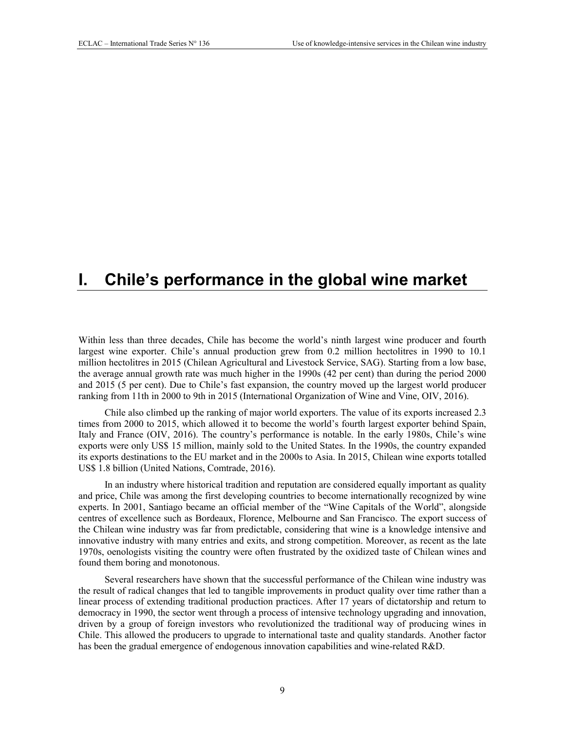# <span id="page-9-0"></span>**I. Chile's performance in the global wine market**

Within less than three decades, Chile has become the world's ninth largest wine producer and fourth largest wine exporter. Chile's annual production grew from 0.2 million hectolitres in 1990 to 10.1 million hectolitres in 2015 (Chilean Agricultural and Livestock Service, SAG). Starting from a low base, the average annual growth rate was much higher in the 1990s (42 per cent) than during the period 2000 and 2015 (5 per cent). Due to Chile's fast expansion, the country moved up the largest world producer ranking from 11th in 2000 to 9th in 2015 (International Organization of Wine and Vine, OIV, 2016).

Chile also climbed up the ranking of major world exporters. The value of its exports increased 2.3 times from 2000 to 2015, which allowed it to become the world's fourth largest exporter behind Spain, Italy and France (OIV, 2016). The country's performance is notable. In the early 1980s, Chile's wine exports were only US\$ 15 million, mainly sold to the United States. In the 1990s, the country expanded its exports destinations to the EU market and in the 2000s to Asia. In 2015, Chilean wine exports totalled US\$ 1.8 billion (United Nations, Comtrade, 2016).

In an industry where historical tradition and reputation are considered equally important as quality and price, Chile was among the first developing countries to become internationally recognized by wine experts. In 2001, Santiago became an official member of the "Wine Capitals of the World", alongside centres of excellence such as Bordeaux, Florence, Melbourne and San Francisco. The export success of the Chilean wine industry was far from predictable, considering that wine is a knowledge intensive and innovative industry with many entries and exits, and strong competition. Moreover, as recent as the late 1970s, oenologists visiting the country were often frustrated by the oxidized taste of Chilean wines and found them boring and monotonous.

Several researchers have shown that the successful performance of the Chilean wine industry was the result of radical changes that led to tangible improvements in product quality over time rather than a linear process of extending traditional production practices. After 17 years of dictatorship and return to democracy in 1990, the sector went through a process of intensive technology upgrading and innovation, driven by a group of foreign investors who revolutionized the traditional way of producing wines in Chile. This allowed the producers to upgrade to international taste and quality standards. Another factor has been the gradual emergence of endogenous innovation capabilities and wine-related R&D.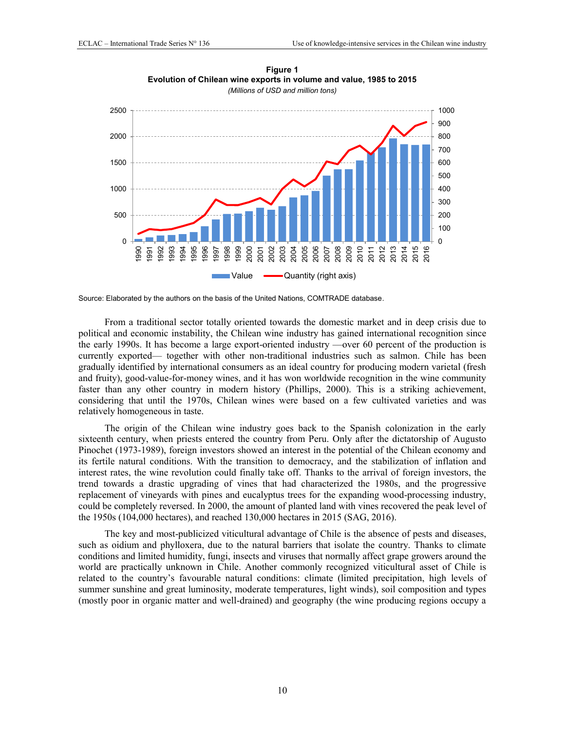<span id="page-10-0"></span>

**Figure 1 Evolution of Chilean wine exports in volume and value, 1985 to 2015**  *(Millions of USD and million tons)* 

Source: Elaborated by the authors on the basis of the United Nations, COMTRADE database.

From a traditional sector totally oriented towards the domestic market and in deep crisis due to political and economic instability, the Chilean wine industry has gained international recognition since the early 1990s. It has become a large export-oriented industry —over 60 percent of the production is currently exported— together with other non-traditional industries such as salmon. Chile has been gradually identified by international consumers as an ideal country for producing modern varietal (fresh and fruity), good-value-for-money wines, and it has won worldwide recognition in the wine community faster than any other country in modern history (Phillips, 2000). This is a striking achievement, considering that until the 1970s, Chilean wines were based on a few cultivated varieties and was relatively homogeneous in taste.

The origin of the Chilean wine industry goes back to the Spanish colonization in the early sixteenth century, when priests entered the country from Peru. Only after the dictatorship of Augusto Pinochet (1973-1989), foreign investors showed an interest in the potential of the Chilean economy and its fertile natural conditions. With the transition to democracy, and the stabilization of inflation and interest rates, the wine revolution could finally take off. Thanks to the arrival of foreign investors, the trend towards a drastic upgrading of vines that had characterized the 1980s, and the progressive replacement of vineyards with pines and eucalyptus trees for the expanding wood-processing industry, could be completely reversed. In 2000, the amount of planted land with vines recovered the peak level of the 1950s (104,000 hectares), and reached 130,000 hectares in 2015 (SAG, 2016).

The key and most-publicized viticultural advantage of Chile is the absence of pests and diseases, such as oidium and phylloxera, due to the natural barriers that isolate the country. Thanks to climate conditions and limited humidity, fungi, insects and viruses that normally affect grape growers around the world are practically unknown in Chile. Another commonly recognized viticultural asset of Chile is related to the country's favourable natural conditions: climate (limited precipitation, high levels of summer sunshine and great luminosity, moderate temperatures, light winds), soil composition and types (mostly poor in organic matter and well-drained) and geography (the wine producing regions occupy a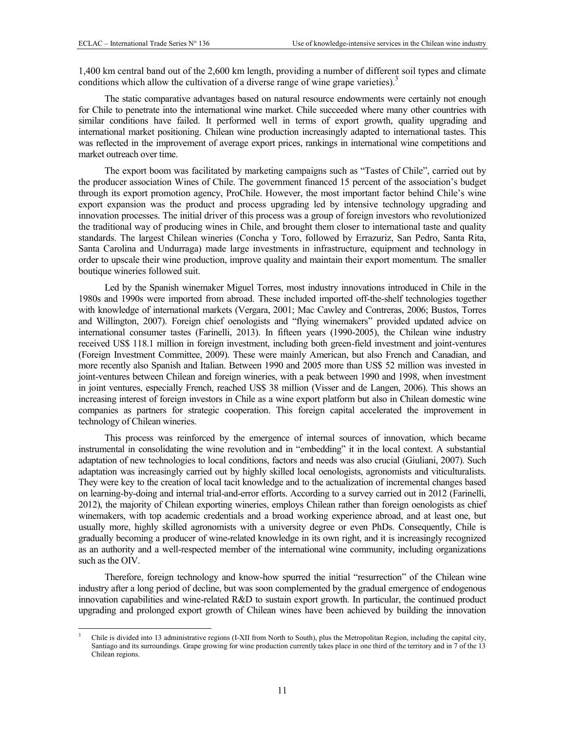-

1,400 km central band out of the 2,600 km length, providing a number of different soil types and climate conditions which allow the cultivation of a diverse range of wine grape varieties).<sup>3</sup>

The static comparative advantages based on natural resource endowments were certainly not enough for Chile to penetrate into the international wine market. Chile succeeded where many other countries with similar conditions have failed. It performed well in terms of export growth, quality upgrading and international market positioning. Chilean wine production increasingly adapted to international tastes. This was reflected in the improvement of average export prices, rankings in international wine competitions and market outreach over time.

The export boom was facilitated by marketing campaigns such as "Tastes of Chile", carried out by the producer association Wines of Chile. The government financed 15 percent of the association's budget through its export promotion agency, ProChile. However, the most important factor behind Chile's wine export expansion was the product and process upgrading led by intensive technology upgrading and innovation processes. The initial driver of this process was a group of foreign investors who revolutionized the traditional way of producing wines in Chile, and brought them closer to international taste and quality standards. The largest Chilean wineries (Concha y Toro, followed by Errazuriz, San Pedro, Santa Rita, Santa Carolina and Undurraga) made large investments in infrastructure, equipment and technology in order to upscale their wine production, improve quality and maintain their export momentum. The smaller boutique wineries followed suit.

Led by the Spanish winemaker Miguel Torres, most industry innovations introduced in Chile in the 1980s and 1990s were imported from abroad. These included imported off-the-shelf technologies together with knowledge of international markets (Vergara, 2001; Mac Cawley and Contreras, 2006; Bustos, Torres and Willington, 2007). Foreign chief oenologists and "flying winemakers" provided updated advice on international consumer tastes (Farinelli, 2013). In fifteen years (1990-2005), the Chilean wine industry received US\$ 118.1 million in foreign investment, including both green-field investment and joint-ventures (Foreign Investment Committee, 2009). These were mainly American, but also French and Canadian, and more recently also Spanish and Italian. Between 1990 and 2005 more than US\$ 52 million was invested in joint-ventures between Chilean and foreign wineries, with a peak between 1990 and 1998, when investment in joint ventures, especially French, reached US\$ 38 million (Visser and de Langen, 2006). This shows an increasing interest of foreign investors in Chile as a wine export platform but also in Chilean domestic wine companies as partners for strategic cooperation. This foreign capital accelerated the improvement in technology of Chilean wineries.

This process was reinforced by the emergence of internal sources of innovation, which became instrumental in consolidating the wine revolution and in "embedding" it in the local context. A substantial adaptation of new technologies to local conditions, factors and needs was also crucial (Giuliani, 2007). Such adaptation was increasingly carried out by highly skilled local oenologists, agronomists and viticulturalists. They were key to the creation of local tacit knowledge and to the actualization of incremental changes based on learning-by-doing and internal trial-and-error efforts. According to a survey carried out in 2012 (Farinelli, 2012), the majority of Chilean exporting wineries, employs Chilean rather than foreign oenologists as chief winemakers, with top academic credentials and a broad working experience abroad, and at least one, but usually more, highly skilled agronomists with a university degree or even PhDs. Consequently, Chile is gradually becoming a producer of wine-related knowledge in its own right, and it is increasingly recognized as an authority and a well-respected member of the international wine community, including organizations such as the OIV.

Therefore, foreign technology and know-how spurred the initial "resurrection" of the Chilean wine industry after a long period of decline, but was soon complemented by the gradual emergence of endogenous innovation capabilities and wine-related R&D to sustain export growth. In particular, the continued product upgrading and prolonged export growth of Chilean wines have been achieved by building the innovation

<sup>3</sup> Chile is divided into 13 administrative regions (I-XII from North to South), plus the Metropolitan Region, including the capital city, Santiago and its surroundings. Grape growing for wine production currently takes place in one third of the territory and in 7 of the 13 Chilean regions.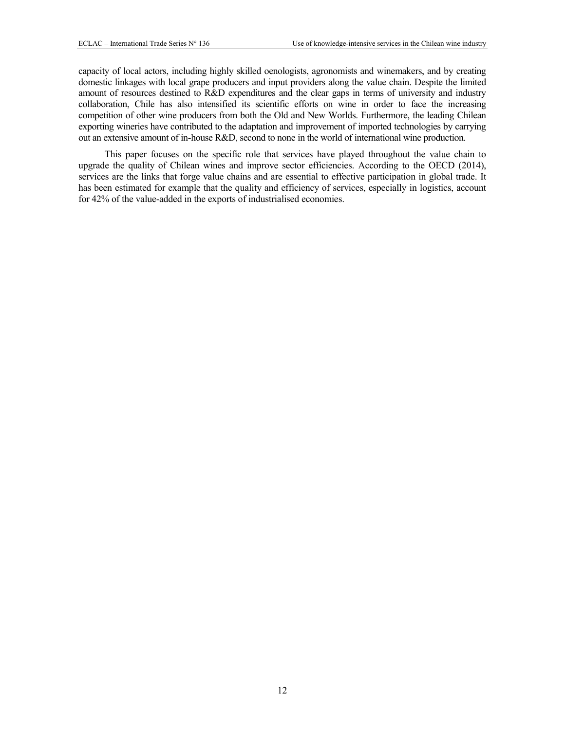capacity of local actors, including highly skilled oenologists, agronomists and winemakers, and by creating domestic linkages with local grape producers and input providers along the value chain. Despite the limited amount of resources destined to R&D expenditures and the clear gaps in terms of university and industry collaboration, Chile has also intensified its scientific efforts on wine in order to face the increasing competition of other wine producers from both the Old and New Worlds. Furthermore, the leading Chilean exporting wineries have contributed to the adaptation and improvement of imported technologies by carrying out an extensive amount of in-house R&D, second to none in the world of international wine production.

This paper focuses on the specific role that services have played throughout the value chain to upgrade the quality of Chilean wines and improve sector efficiencies. According to the OECD (2014), services are the links that forge value chains and are essential to effective participation in global trade. It has been estimated for example that the quality and efficiency of services, especially in logistics, account for 42% of the value-added in the exports of industrialised economies.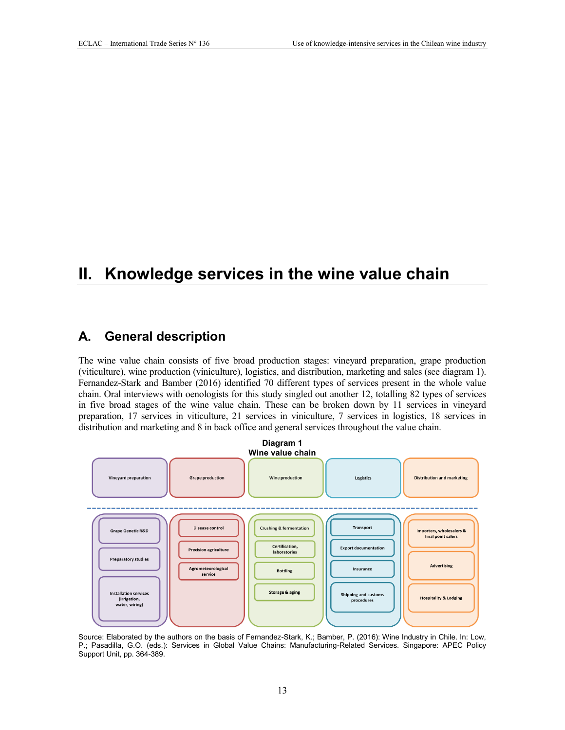# <span id="page-13-0"></span>**II. Knowledge services in the wine value chain**

### <span id="page-13-1"></span>**A. General description**

The wine value chain consists of five broad production stages: vineyard preparation, grape production (viticulture), wine production (viniculture), logistics, and distribution, marketing and sales (see diagram 1). Fernandez-Stark and Bamber (2016) identified 70 different types of services present in the whole value chain. Oral interviews with oenologists for this study singled out another 12, totalling 82 types of services in five broad stages of the wine value chain. These can be broken down by 11 services in vineyard preparation, 17 services in viticulture, 21 services in viniculture, 7 services in logistics, 18 services in distribution and marketing and 8 in back office and general services throughout the value chain.

<span id="page-13-2"></span>

Source: Elaborated by the authors on the basis of Fernandez-Stark, K.; Bamber, P. (2016): Wine Industry in Chile. In: Low, P.; Pasadilla, G.O. (eds.): Services in Global Value Chains: Manufacturing-Related Services. Singapore: APEC Policy Support Unit, pp. 364-389.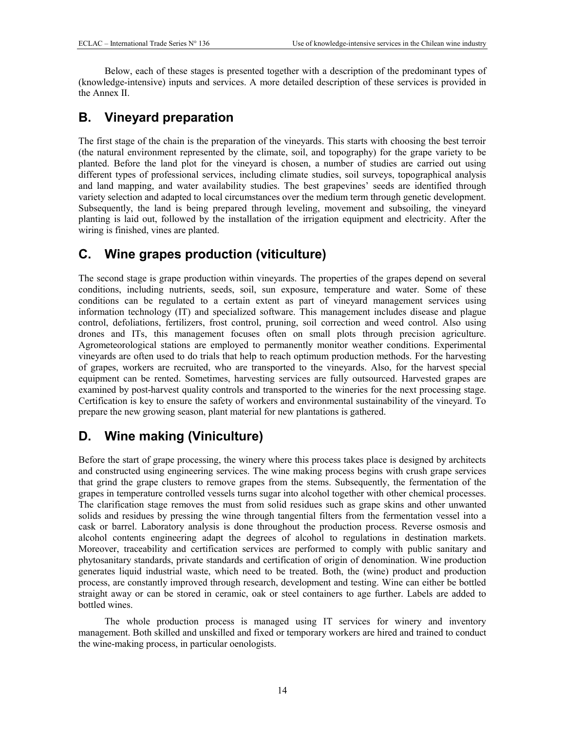Below, each of these stages is presented together with a description of the predominant types of (knowledge-intensive) inputs and services. A more detailed description of these services is provided in the Annex II.

# <span id="page-14-0"></span>**B. Vineyard preparation**

The first stage of the chain is the preparation of the vineyards. This starts with choosing the best terroir (the natural environment represented by the climate, soil, and topography) for the grape variety to be planted. Before the land plot for the vineyard is chosen, a number of studies are carried out using different types of professional services, including climate studies, soil surveys, topographical analysis and land mapping, and water availability studies. The best grapevines' seeds are identified through variety selection and adapted to local circumstances over the medium term through genetic development. Subsequently, the land is being prepared through leveling, movement and subsoiling, the vineyard planting is laid out, followed by the installation of the irrigation equipment and electricity. After the wiring is finished, vines are planted.

# <span id="page-14-1"></span>**C. Wine grapes production (viticulture)**

The second stage is grape production within vineyards. The properties of the grapes depend on several conditions, including nutrients, seeds, soil, sun exposure, temperature and water. Some of these conditions can be regulated to a certain extent as part of vineyard management services using information technology (IT) and specialized software. This management includes disease and plague control, defoliations, fertilizers, frost control, pruning, soil correction and weed control. Also using drones and ITs, this management focuses often on small plots through precision agriculture. Agrometeorological stations are employed to permanently monitor weather conditions. Experimental vineyards are often used to do trials that help to reach optimum production methods. For the harvesting of grapes, workers are recruited, who are transported to the vineyards. Also, for the harvest special equipment can be rented. Sometimes, harvesting services are fully outsourced. Harvested grapes are examined by post-harvest quality controls and transported to the wineries for the next processing stage. Certification is key to ensure the safety of workers and environmental sustainability of the vineyard. To prepare the new growing season, plant material for new plantations is gathered.

# <span id="page-14-2"></span>**D. Wine making (Viniculture)**

Before the start of grape processing, the winery where this process takes place is designed by architects and constructed using engineering services. The wine making process begins with crush grape services that grind the grape clusters to remove grapes from the stems. Subsequently, the fermentation of the grapes in temperature controlled vessels turns sugar into alcohol together with other chemical processes. The clarification stage removes the must from solid residues such as grape skins and other unwanted solids and residues by pressing the wine through tangential filters from the fermentation vessel into a cask or barrel. Laboratory analysis is done throughout the production process. Reverse osmosis and alcohol contents engineering adapt the degrees of alcohol to regulations in destination markets. Moreover, traceability and certification services are performed to comply with public sanitary and phytosanitary standards, private standards and certification of origin of denomination. Wine production generates liquid industrial waste, which need to be treated. Both, the (wine) product and production process, are constantly improved through research, development and testing. Wine can either be bottled straight away or can be stored in ceramic, oak or steel containers to age further. Labels are added to bottled wines.

The whole production process is managed using IT services for winery and inventory management. Both skilled and unskilled and fixed or temporary workers are hired and trained to conduct the wine-making process, in particular oenologists.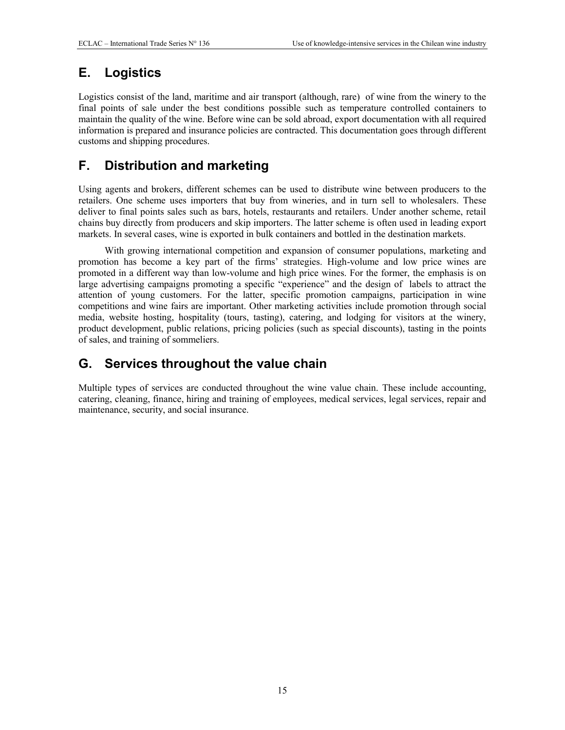# <span id="page-15-0"></span>**E. Logistics**

Logistics consist of the land, maritime and air transport (although, rare) of wine from the winery to the final points of sale under the best conditions possible such as temperature controlled containers to maintain the quality of the wine. Before wine can be sold abroad, export documentation with all required information is prepared and insurance policies are contracted. This documentation goes through different customs and shipping procedures.

# <span id="page-15-1"></span>**F. Distribution and marketing**

Using agents and brokers, different schemes can be used to distribute wine between producers to the retailers. One scheme uses importers that buy from wineries, and in turn sell to wholesalers. These deliver to final points sales such as bars, hotels, restaurants and retailers. Under another scheme, retail chains buy directly from producers and skip importers. The latter scheme is often used in leading export markets. In several cases, wine is exported in bulk containers and bottled in the destination markets.

With growing international competition and expansion of consumer populations, marketing and promotion has become a key part of the firms' strategies. High-volume and low price wines are promoted in a different way than low-volume and high price wines. For the former, the emphasis is on large advertising campaigns promoting a specific "experience" and the design of labels to attract the attention of young customers. For the latter, specific promotion campaigns, participation in wine competitions and wine fairs are important. Other marketing activities include promotion through social media, website hosting, hospitality (tours, tasting), catering, and lodging for visitors at the winery, product development, public relations, pricing policies (such as special discounts), tasting in the points of sales, and training of sommeliers.

# <span id="page-15-2"></span>**G. Services throughout the value chain**

Multiple types of services are conducted throughout the wine value chain. These include accounting, catering, cleaning, finance, hiring and training of employees, medical services, legal services, repair and maintenance, security, and social insurance.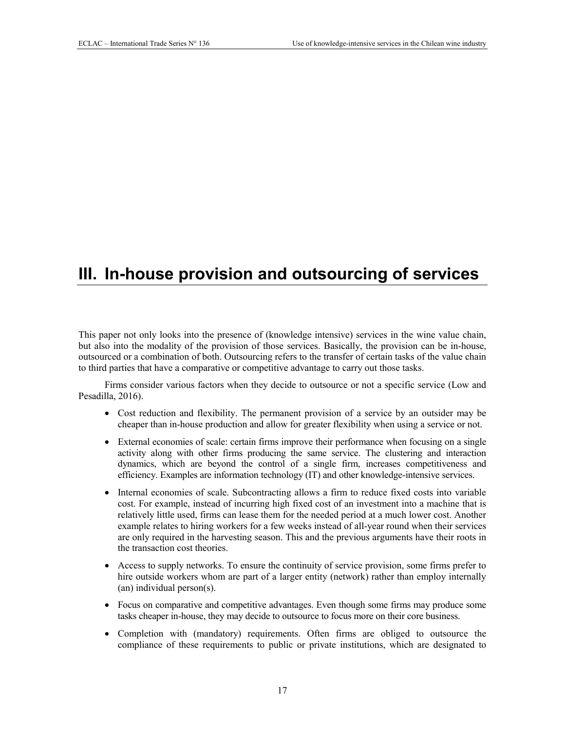# <span id="page-17-0"></span>**III. In-house provision and outsourcing of services**

This paper not only looks into the presence of (knowledge intensive) services in the wine value chain, but also into the modality of the provision of those services. Basically, the provision can be in-house, outsourced or a combination of both. Outsourcing refers to the transfer of certain tasks of the value chain to third parties that have a comparative or competitive advantage to carry out those tasks.

Firms consider various factors when they decide to outsource or not a specific service (Low and Pesadilla, 2016).

- Cost reduction and flexibility. The permanent provision of a service by an outsider may be cheaper than in-house production and allow for greater flexibility when using a service or not.
- External economies of scale: certain firms improve their performance when focusing on a single activity along with other firms producing the same service. The clustering and interaction dynamics, which are beyond the control of a single firm, increases competitiveness and efficiency. Examples are information technology (IT) and other knowledge-intensive services.
- Internal economies of scale. Subcontracting allows a firm to reduce fixed costs into variable cost. For example, instead of incurring high fixed cost of an investment into a machine that is relatively little used, firms can lease them for the needed period at a much lower cost. Another example relates to hiring workers for a few weeks instead of all-year round when their services are only required in the harvesting season. This and the previous arguments have their roots in the transaction cost theories.
- Access to supply networks. To ensure the continuity of service provision, some firms prefer to hire outside workers whom are part of a larger entity (network) rather than employ internally (an) individual person(s).
- Focus on comparative and competitive advantages. Even though some firms may produce some tasks cheaper in-house, they may decide to outsource to focus more on their core business.
- Completion with (mandatory) requirements. Often firms are obliged to outsource the compliance of these requirements to public or private institutions, which are designated to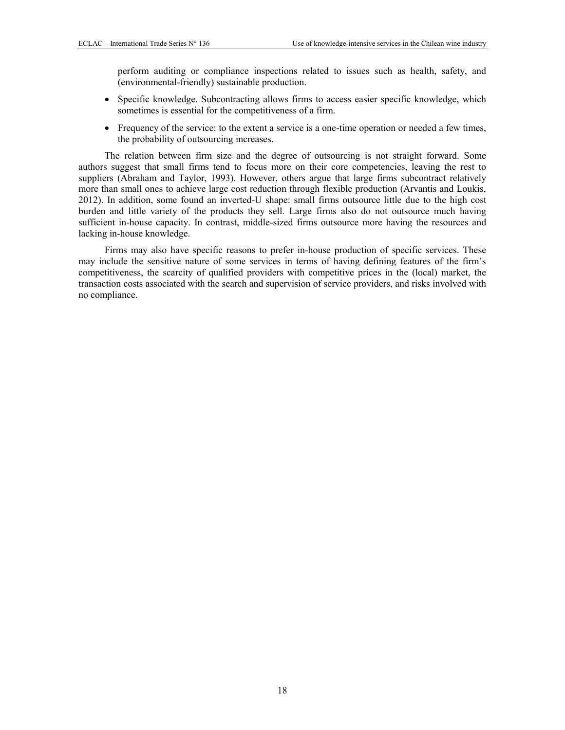perform auditing or compliance inspections related to issues such as health, safety, and (environmental-friendly) sustainable production.

- Specific knowledge. Subcontracting allows firms to access easier specific knowledge, which sometimes is essential for the competitiveness of a firm.
- Frequency of the service: to the extent a service is a one-time operation or needed a few times, the probability of outsourcing increases.

The relation between firm size and the degree of outsourcing is not straight forward. Some authors suggest that small firms tend to focus more on their core competencies, leaving the rest to suppliers (Abraham and Taylor, 1993). However, others argue that large firms subcontract relatively more than small ones to achieve large cost reduction through flexible production (Arvantis and Loukis, 2012). In addition, some found an inverted-U shape: small firms outsource little due to the high cost burden and little variety of the products they sell. Large firms also do not outsource much having sufficient in-house capacity. In contrast, middle-sized firms outsource more having the resources and lacking in-house knowledge.

Firms may also have specific reasons to prefer in-house production of specific services. These may include the sensitive nature of some services in terms of having defining features of the firm's competitiveness, the scarcity of qualified providers with competitive prices in the (local) market, the transaction costs associated with the search and supervision of service providers, and risks involved with no compliance.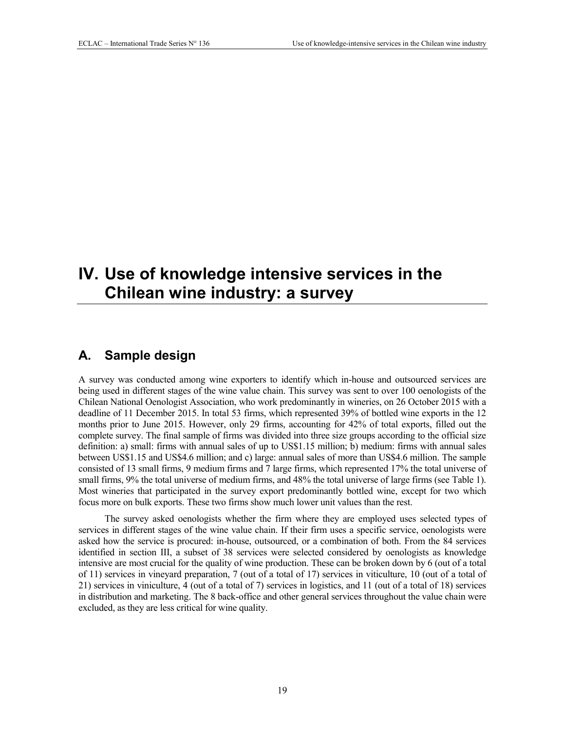# <span id="page-19-0"></span>**IV. Use of knowledge intensive services in the Chilean wine industry: a survey**

### <span id="page-19-1"></span>**A. Sample design**

A survey was conducted among wine exporters to identify which in-house and outsourced services are being used in different stages of the wine value chain. This survey was sent to over 100 oenologists of the Chilean National Oenologist Association, who work predominantly in wineries, on 26 October 2015 with a deadline of 11 December 2015. In total 53 firms, which represented 39% of bottled wine exports in the 12 months prior to June 2015. However, only 29 firms, accounting for 42% of total exports, filled out the complete survey. The final sample of firms was divided into three size groups according to the official size definition: a) small: firms with annual sales of up to US\$1.15 million; b) medium: firms with annual sales between US\$1.15 and US\$4.6 million; and c) large: annual sales of more than US\$4.6 million. The sample consisted of 13 small firms, 9 medium firms and 7 large firms, which represented 17% the total universe of small firms, 9% the total universe of medium firms, and 48% the total universe of large firms (see Table 1). Most wineries that participated in the survey export predominantly bottled wine, except for two which focus more on bulk exports. These two firms show much lower unit values than the rest.

The survey asked oenologists whether the firm where they are employed uses selected types of services in different stages of the wine value chain. If their firm uses a specific service, oenologists were asked how the service is procured: in-house, outsourced, or a combination of both. From the 84 services identified in section III, a subset of 38 services were selected considered by oenologists as knowledge intensive are most crucial for the quality of wine production. These can be broken down by 6 (out of a total of 11) services in vineyard preparation, 7 (out of a total of 17) services in viticulture, 10 (out of a total of 21) services in viniculture, 4 (out of a total of 7) services in logistics, and 11 (out of a total of 18) services in distribution and marketing. The 8 back-office and other general services throughout the value chain were excluded, as they are less critical for wine quality.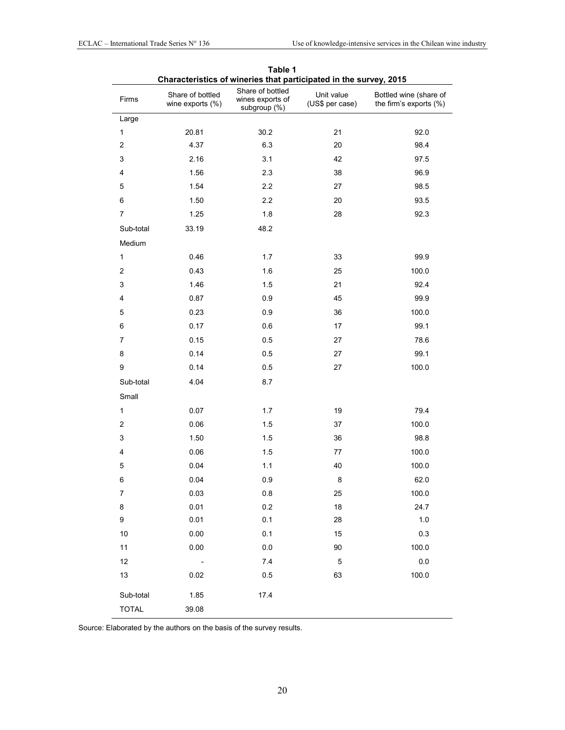<span id="page-20-1"></span><span id="page-20-0"></span>

| Characteristics of wineries that participated in the survey, 2015 |                                      |                                                      |                               |                                                  |
|-------------------------------------------------------------------|--------------------------------------|------------------------------------------------------|-------------------------------|--------------------------------------------------|
| Firms                                                             | Share of bottled<br>wine exports (%) | Share of bottled<br>wines exports of<br>subgroup (%) | Unit value<br>(US\$ per case) | Bottled wine (share of<br>the firm's exports (%) |
| Large                                                             |                                      |                                                      |                               |                                                  |
| $\mathbf{1}$                                                      | 20.81                                | 30.2                                                 | 21                            | 92.0                                             |
| $\overline{\mathbf{c}}$                                           | 4.37                                 | 6.3                                                  | 20                            | 98.4                                             |
| $\ensuremath{\mathsf{3}}$                                         | 2.16                                 | 3.1                                                  | 42                            | 97.5                                             |
| 4                                                                 | 1.56                                 | 2.3                                                  | 38                            | 96.9                                             |
| 5                                                                 | 1.54                                 | 2.2                                                  | 27                            | 98.5                                             |
| 6                                                                 | 1.50                                 | 2.2                                                  | 20                            | 93.5                                             |
| $\overline{7}$                                                    | 1.25                                 | 1.8                                                  | 28                            | 92.3                                             |
| Sub-total                                                         | 33.19                                | 48.2                                                 |                               |                                                  |
| Medium                                                            |                                      |                                                      |                               |                                                  |
| $\mathbf{1}$                                                      | 0.46                                 | 1.7                                                  | 33                            | 99.9                                             |
| $\overline{\mathbf{c}}$                                           | 0.43                                 | 1.6                                                  | 25                            | 100.0                                            |
| 3                                                                 | 1.46                                 | 1.5                                                  | 21                            | 92.4                                             |
| 4                                                                 | 0.87                                 | 0.9                                                  | 45                            | 99.9                                             |
| 5                                                                 | 0.23                                 | 0.9                                                  | 36                            | 100.0                                            |
| 6                                                                 | 0.17                                 | 0.6                                                  | 17                            | 99.1                                             |
| $\boldsymbol{7}$                                                  | 0.15                                 | 0.5                                                  | 27                            | 78.6                                             |
| 8                                                                 | 0.14                                 | 0.5                                                  | 27                            | 99.1                                             |
| 9                                                                 | 0.14                                 | 0.5                                                  | 27                            | 100.0                                            |
| Sub-total                                                         | 4.04                                 | 8.7                                                  |                               |                                                  |
| Small                                                             |                                      |                                                      |                               |                                                  |
| $\mathbf{1}$                                                      | 0.07                                 | 1.7                                                  | 19                            | 79.4                                             |
| $\overline{\mathbf{c}}$                                           | 0.06                                 | 1.5                                                  | 37                            | 100.0                                            |
| 3                                                                 | 1.50                                 | 1.5                                                  | 36                            | 98.8                                             |
| 4                                                                 | 0.06                                 | 1.5                                                  | 77                            | 100.0                                            |
| 5                                                                 | 0.04                                 | $1.1$                                                | 40                            | 100.0                                            |
| 6                                                                 | 0.04                                 | 0.9                                                  | 8                             | 62.0                                             |
| 7                                                                 | 0.03                                 | 0.8                                                  | 25                            | 100.0                                            |
| 8                                                                 | 0.01                                 | 0.2                                                  | 18                            | 24.7                                             |
| 9                                                                 | 0.01                                 | 0.1                                                  | 28                            | $1.0\,$                                          |
| $10\,$                                                            | 0.00                                 | 0.1                                                  | 15                            | 0.3                                              |
| 11                                                                | 0.00                                 | $0.0\,$                                              | 90                            | 100.0                                            |
| 12                                                                | $\overline{\phantom{a}}$             | 7.4                                                  | $\mathbf 5$                   | $0.0\,$                                          |
| 13                                                                | 0.02                                 | 0.5                                                  | 63                            | 100.0                                            |
| Sub-total                                                         | 1.85                                 | 17.4                                                 |                               |                                                  |
| <b>TOTAL</b>                                                      | 39.08                                |                                                      |                               |                                                  |

| Table 1                                                           |  |  |
|-------------------------------------------------------------------|--|--|
| Characteristics of wineries that participated in the survey. 2015 |  |  |

Source: Elaborated by the authors on the basis of the survey results.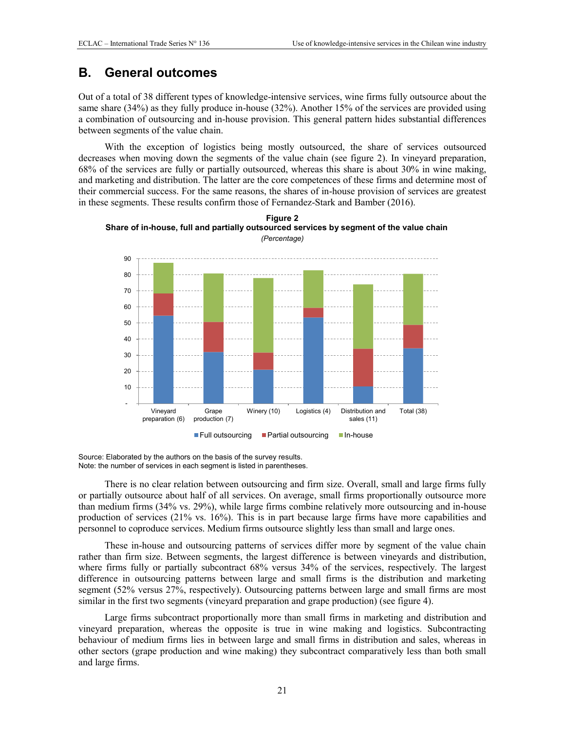## <span id="page-21-0"></span>**B. General outcomes**

Out of a total of 38 different types of knowledge-intensive services, wine firms fully outsource about the same share (34%) as they fully produce in-house (32%). Another 15% of the services are provided using a combination of outsourcing and in-house provision. This general pattern hides substantial differences between segments of the value chain.

With the exception of logistics being mostly outsourced, the share of services outsourced decreases when moving down the segments of the value chain (see figure 2). In vineyard preparation, 68% of the services are fully or partially outsourced, whereas this share is about 30% in wine making, and marketing and distribution. The latter are the core competences of these firms and determine most of their commercial success. For the same reasons, the shares of in-house provision of services are greatest in these segments. These results confirm those of Fernandez-Stark and Bamber (2016).

<span id="page-21-1"></span>



Source: Elaborated by the authors on the basis of the survey results. Note: the number of services in each segment is listed in parentheses.

There is no clear relation between outsourcing and firm size. Overall, small and large firms fully or partially outsource about half of all services. On average, small firms proportionally outsource more than medium firms (34% vs. 29%), while large firms combine relatively more outsourcing and in-house production of services (21% vs. 16%). This is in part because large firms have more capabilities and personnel to coproduce services. Medium firms outsource slightly less than small and large ones.

These in-house and outsourcing patterns of services differ more by segment of the value chain rather than firm size. Between segments, the largest difference is between vineyards and distribution, where firms fully or partially subcontract 68% versus 34% of the services, respectively. The largest difference in outsourcing patterns between large and small firms is the distribution and marketing segment (52% versus 27%, respectively). Outsourcing patterns between large and small firms are most similar in the first two segments (vineyard preparation and grape production) (see figure 4).

Large firms subcontract proportionally more than small firms in marketing and distribution and vineyard preparation, whereas the opposite is true in wine making and logistics. Subcontracting behaviour of medium firms lies in between large and small firms in distribution and sales, whereas in other sectors (grape production and wine making) they subcontract comparatively less than both small and large firms.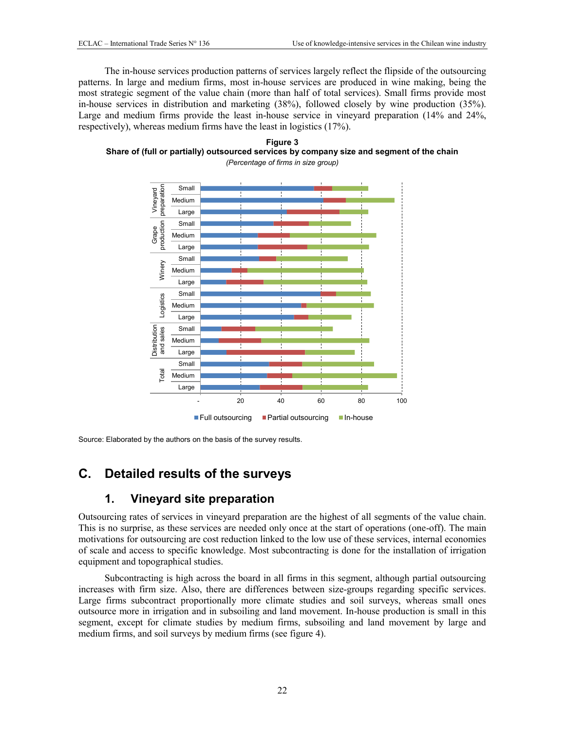The in-house services production patterns of services largely reflect the flipside of the outsourcing patterns. In large and medium firms, most in-house services are produced in wine making, being the most strategic segment of the value chain (more than half of total services). Small firms provide most in-house services in distribution and marketing (38%), followed closely by wine production (35%). Large and medium firms provide the least in-house service in vineyard preparation (14% and 24%, respectively), whereas medium firms have the least in logistics (17%).

<span id="page-22-2"></span>



Source: Elaborated by the authors on the basis of the survey results.

### <span id="page-22-0"></span>**C. Detailed results of the surveys**

### **1. Vineyard site preparation**

<span id="page-22-1"></span>Outsourcing rates of services in vineyard preparation are the highest of all segments of the value chain. This is no surprise, as these services are needed only once at the start of operations (one-off). The main motivations for outsourcing are cost reduction linked to the low use of these services, internal economies of scale and access to specific knowledge. Most subcontracting is done for the installation of irrigation equipment and topographical studies.

Subcontracting is high across the board in all firms in this segment, although partial outsourcing increases with firm size. Also, there are differences between size-groups regarding specific services. Large firms subcontract proportionally more climate studies and soil surveys, whereas small ones outsource more in irrigation and in subsoiling and land movement. In-house production is small in this segment, except for climate studies by medium firms, subsoiling and land movement by large and medium firms, and soil surveys by medium firms (see figure 4).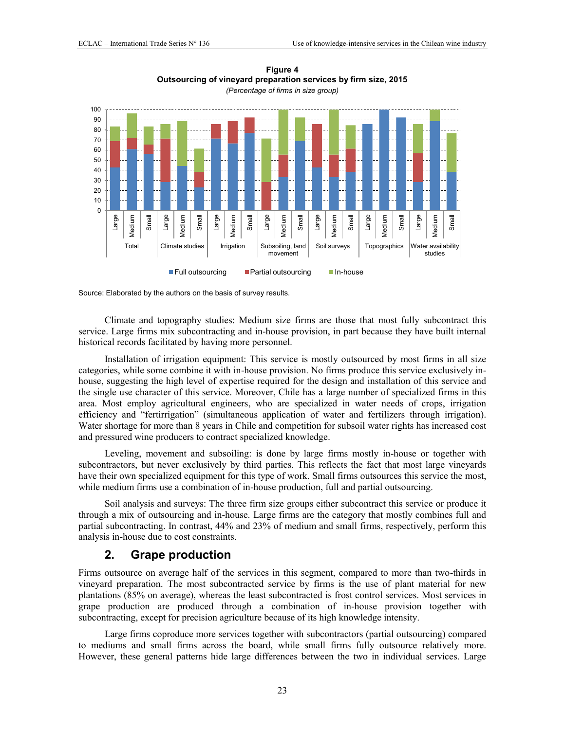<span id="page-23-1"></span>

### **Figure 4 Outsourcing of vineyard preparation services by firm size, 2015**

Source: Elaborated by the authors on the basis of survey results.

Climate and topography studies: Medium size firms are those that most fully subcontract this service. Large firms mix subcontracting and in-house provision, in part because they have built internal historical records facilitated by having more personnel.

Installation of irrigation equipment: This service is mostly outsourced by most firms in all size categories, while some combine it with in-house provision. No firms produce this service exclusively inhouse, suggesting the high level of expertise required for the design and installation of this service and the single use character of this service. Moreover, Chile has a large number of specialized firms in this area. Most employ agricultural engineers, who are specialized in water needs of crops, irrigation efficiency and "fertirrigation" (simultaneous application of water and fertilizers through irrigation). Water shortage for more than 8 years in Chile and competition for subsoil water rights has increased cost and pressured wine producers to contract specialized knowledge.

Leveling, movement and subsoiling: is done by large firms mostly in-house or together with subcontractors, but never exclusively by third parties. This reflects the fact that most large vineyards have their own specialized equipment for this type of work. Small firms outsources this service the most, while medium firms use a combination of in-house production, full and partial outsourcing.

Soil analysis and surveys: The three firm size groups either subcontract this service or produce it through a mix of outsourcing and in-house. Large firms are the category that mostly combines full and partial subcontracting. In contrast, 44% and 23% of medium and small firms, respectively, perform this analysis in-house due to cost constraints.

### **2. Grape production**

<span id="page-23-0"></span>Firms outsource on average half of the services in this segment, compared to more than two-thirds in vineyard preparation. The most subcontracted service by firms is the use of plant material for new plantations (85% on average), whereas the least subcontracted is frost control services. Most services in grape production are produced through a combination of in-house provision together with subcontracting, except for precision agriculture because of its high knowledge intensity.

Large firms coproduce more services together with subcontractors (partial outsourcing) compared to mediums and small firms across the board, while small firms fully outsource relatively more. However, these general patterns hide large differences between the two in individual services. Large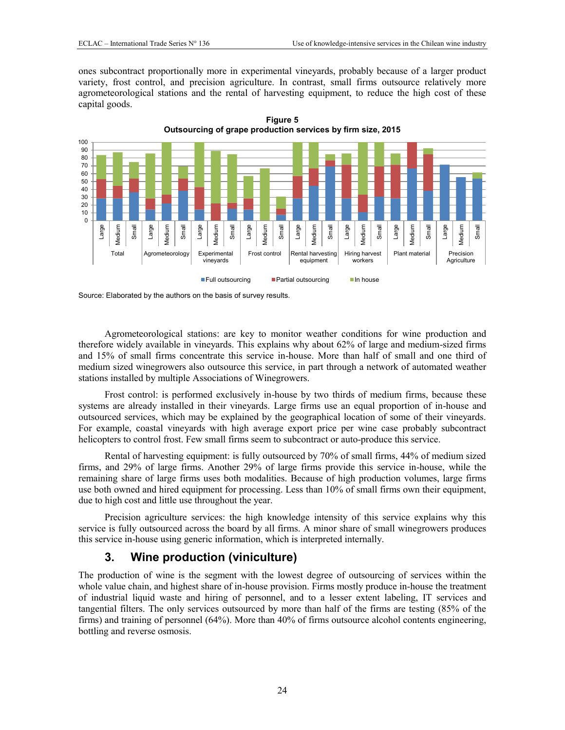ones subcontract proportionally more in experimental vineyards, probably because of a larger product variety, frost control, and precision agriculture. In contrast, small firms outsource relatively more agrometeorological stations and the rental of harvesting equipment, to reduce the high cost of these capital goods.

**Figure 5** 

<span id="page-24-1"></span>

Source: Elaborated by the authors on the basis of survey results.

Agrometeorological stations: are key to monitor weather conditions for wine production and therefore widely available in vineyards. This explains why about 62% of large and medium-sized firms and 15% of small firms concentrate this service in-house. More than half of small and one third of medium sized winegrowers also outsource this service, in part through a network of automated weather stations installed by multiple Associations of Winegrowers.

Frost control: is performed exclusively in-house by two thirds of medium firms, because these systems are already installed in their vineyards. Large firms use an equal proportion of in-house and outsourced services, which may be explained by the geographical location of some of their vineyards. For example, coastal vineyards with high average export price per wine case probably subcontract helicopters to control frost. Few small firms seem to subcontract or auto-produce this service.

Rental of harvesting equipment: is fully outsourced by 70% of small firms, 44% of medium sized firms, and 29% of large firms. Another 29% of large firms provide this service in-house, while the remaining share of large firms uses both modalities. Because of high production volumes, large firms use both owned and hired equipment for processing. Less than 10% of small firms own their equipment, due to high cost and little use throughout the year.

Precision agriculture services: the high knowledge intensity of this service explains why this service is fully outsourced across the board by all firms. A minor share of small winegrowers produces this service in-house using generic information, which is interpreted internally.

### **3. Wine production (viniculture)**

<span id="page-24-0"></span>The production of wine is the segment with the lowest degree of outsourcing of services within the whole value chain, and highest share of in-house provision. Firms mostly produce in-house the treatment of industrial liquid waste and hiring of personnel, and to a lesser extent labeling, IT services and tangential filters. The only services outsourced by more than half of the firms are testing (85% of the firms) and training of personnel (64%). More than 40% of firms outsource alcohol contents engineering, bottling and reverse osmosis.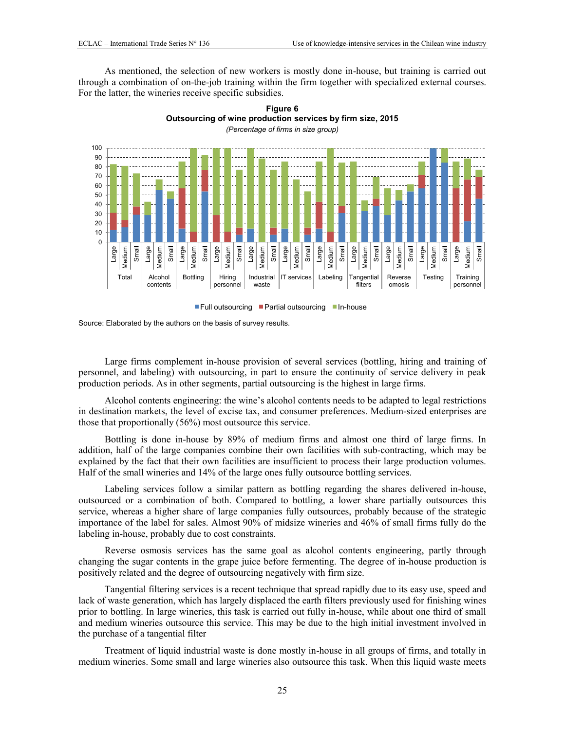As mentioned, the selection of new workers is mostly done in-house, but training is carried out through a combination of on-the-job training within the firm together with specialized external courses. For the latter, the wineries receive specific subsidies.

> **Figure 6 Outsourcing of wine production services by firm size, 2015**

<span id="page-25-0"></span>

 $\blacksquare$  Full outsourcing  $\blacksquare$  Partial outsourcing  $\blacksquare$  In-house

Source: Elaborated by the authors on the basis of survey results.

Large firms complement in-house provision of several services (bottling, hiring and training of personnel, and labeling) with outsourcing, in part to ensure the continuity of service delivery in peak production periods. As in other segments, partial outsourcing is the highest in large firms.

Alcohol contents engineering: the wine's alcohol contents needs to be adapted to legal restrictions in destination markets, the level of excise tax, and consumer preferences. Medium-sized enterprises are those that proportionally (56%) most outsource this service.

Bottling is done in-house by 89% of medium firms and almost one third of large firms. In addition, half of the large companies combine their own facilities with sub-contracting, which may be explained by the fact that their own facilities are insufficient to process their large production volumes. Half of the small wineries and 14% of the large ones fully outsource bottling services.

Labeling services follow a similar pattern as bottling regarding the shares delivered in-house, outsourced or a combination of both. Compared to bottling, a lower share partially outsources this service, whereas a higher share of large companies fully outsources, probably because of the strategic importance of the label for sales. Almost 90% of midsize wineries and 46% of small firms fully do the labeling in-house, probably due to cost constraints.

Reverse osmosis services has the same goal as alcohol contents engineering, partly through changing the sugar contents in the grape juice before fermenting. The degree of in-house production is positively related and the degree of outsourcing negatively with firm size.

Tangential filtering services is a recent technique that spread rapidly due to its easy use, speed and lack of waste generation, which has largely displaced the earth filters previously used for finishing wines prior to bottling. In large wineries, this task is carried out fully in-house, while about one third of small and medium wineries outsource this service. This may be due to the high initial investment involved in the purchase of a tangential filter

Treatment of liquid industrial waste is done mostly in-house in all groups of firms, and totally in medium wineries. Some small and large wineries also outsource this task. When this liquid waste meets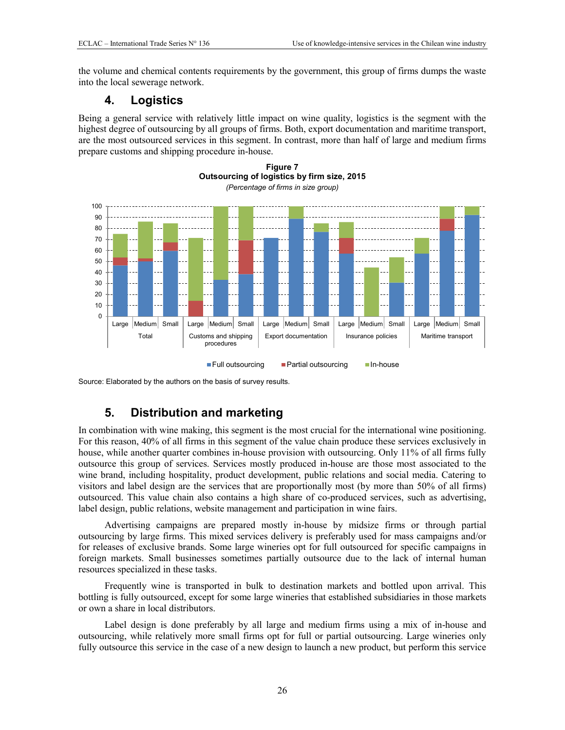the volume and chemical contents requirements by the government, this group of firms dumps the waste into the local sewerage network.

### **4. Logistics**

<span id="page-26-0"></span>Being a general service with relatively little impact on wine quality, logistics is the segment with the highest degree of outsourcing by all groups of firms. Both, export documentation and maritime transport, are the most outsourced services in this segment. In contrast, more than half of large and medium firms prepare customs and shipping procedure in-house.

<span id="page-26-2"></span>



<span id="page-26-1"></span>Source: Elaborated by the authors on the basis of survey results.

### **5. Distribution and marketing**

In combination with wine making, this segment is the most crucial for the international wine positioning. For this reason, 40% of all firms in this segment of the value chain produce these services exclusively in house, while another quarter combines in-house provision with outsourcing. Only 11% of all firms fully outsource this group of services. Services mostly produced in-house are those most associated to the wine brand, including hospitality, product development, public relations and social media. Catering to visitors and label design are the services that are proportionally most (by more than 50% of all firms) outsourced. This value chain also contains a high share of co-produced services, such as advertising, label design, public relations, website management and participation in wine fairs.

Advertising campaigns are prepared mostly in-house by midsize firms or through partial outsourcing by large firms. This mixed services delivery is preferably used for mass campaigns and/or for releases of exclusive brands. Some large wineries opt for full outsourced for specific campaigns in foreign markets. Small businesses sometimes partially outsource due to the lack of internal human resources specialized in these tasks.

Frequently wine is transported in bulk to destination markets and bottled upon arrival. This bottling is fully outsourced, except for some large wineries that established subsidiaries in those markets or own a share in local distributors.

Label design is done preferably by all large and medium firms using a mix of in-house and outsourcing, while relatively more small firms opt for full or partial outsourcing. Large wineries only fully outsource this service in the case of a new design to launch a new product, but perform this service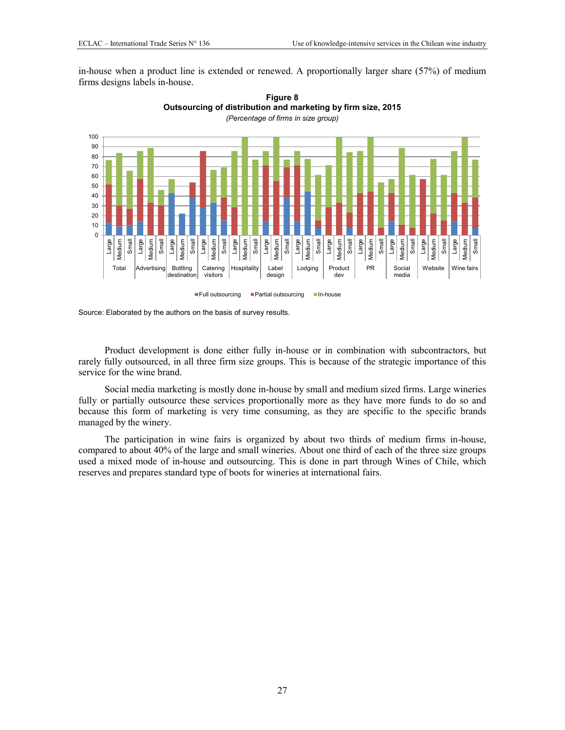<span id="page-27-0"></span>in-house when a product line is extended or renewed. A proportionally larger share (57%) of medium firms designs labels in-house.



**Figure 8 Outsourcing of distribution and marketing by firm size, 2015**  *(Percentage of firms in size group)* 

Source: Elaborated by the authors on the basis of survey results.

Product development is done either fully in-house or in combination with subcontractors, but rarely fully outsourced, in all three firm size groups. This is because of the strategic importance of this service for the wine brand.

Social media marketing is mostly done in-house by small and medium sized firms. Large wineries fully or partially outsource these services proportionally more as they have more funds to do so and because this form of marketing is very time consuming, as they are specific to the specific brands managed by the winery.

The participation in wine fairs is organized by about two thirds of medium firms in-house, compared to about 40% of the large and small wineries. About one third of each of the three size groups used a mixed mode of in-house and outsourcing. This is done in part through Wines of Chile, which reserves and prepares standard type of boots for wineries at international fairs.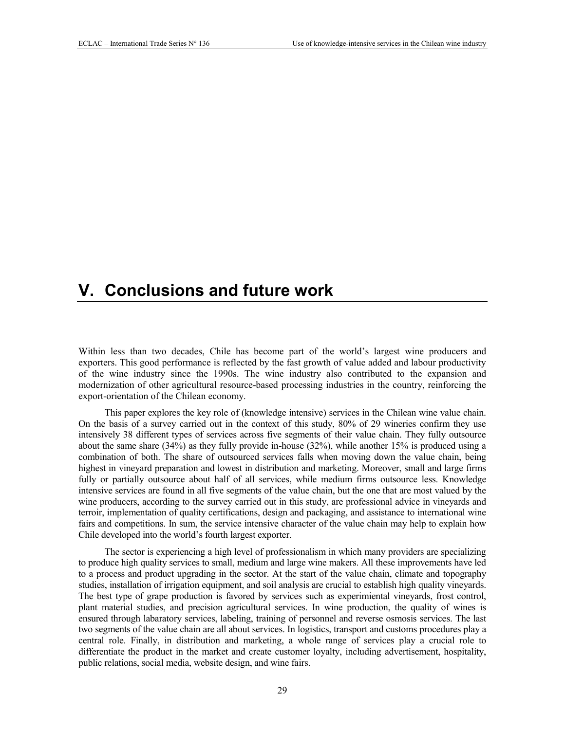# **V. Conclusions and future work**

Within less than two decades, Chile has become part of the world's largest wine producers and exporters. This good performance is reflected by the fast growth of value added and labour productivity of the wine industry since the 1990s. The wine industry also contributed to the expansion and modernization of other agricultural resource-based processing industries in the country, reinforcing the export-orientation of the Chilean economy.

This paper explores the key role of (knowledge intensive) services in the Chilean wine value chain. On the basis of a survey carried out in the context of this study, 80% of 29 wineries confirm they use intensively 38 different types of services across five segments of their value chain. They fully outsource about the same share (34%) as they fully provide in-house (32%), while another 15% is produced using a combination of both. The share of outsourced services falls when moving down the value chain, being highest in vineyard preparation and lowest in distribution and marketing. Moreover, small and large firms fully or partially outsource about half of all services, while medium firms outsource less. Knowledge intensive services are found in all five segments of the value chain, but the one that are most valued by the wine producers, according to the survey carried out in this study, are professional advice in vineyards and terroir, implementation of quality certifications, design and packaging, and assistance to international wine fairs and competitions. In sum, the service intensive character of the value chain may help to explain how Chile developed into the world's fourth largest exporter.

The sector is experiencing a high level of professionalism in which many providers are specializing to produce high quality services to small, medium and large wine makers. All these improvements have led to a process and product upgrading in the sector. At the start of the value chain, climate and topography studies, installation of irrigation equipment, and soil analysis are crucial to establish high quality vineyards. The best type of grape production is favored by services such as experimiental vineyards, frost control, plant material studies, and precision agricultural services. In wine production, the quality of wines is ensured through labaratory services, labeling, training of personnel and reverse osmosis services. The last two segments of the value chain are all about services. In logistics, transport and customs procedures play a central role. Finally, in distribution and marketing, a whole range of services play a crucial role to differentiate the product in the market and create customer loyalty, including advertisement, hospitality, public relations, social media, website design, and wine fairs.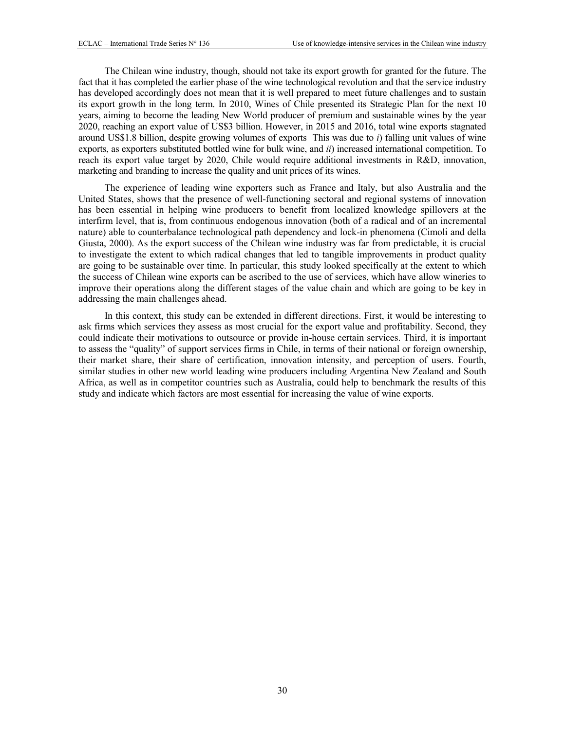The Chilean wine industry, though, should not take its export growth for granted for the future. The fact that it has completed the earlier phase of the wine technological revolution and that the service industry has developed accordingly does not mean that it is well prepared to meet future challenges and to sustain its export growth in the long term. In 2010, Wines of Chile presented its Strategic Plan for the next 10 years, aiming to become the leading New World producer of premium and sustainable wines by the year 2020, reaching an export value of US\$3 billion. However, in 2015 and 2016, total wine exports stagnated around US\$1.8 billion, despite growing volumes of exports This was due to *i*) falling unit values of wine exports, as exporters substituted bottled wine for bulk wine, and *ii*) increased international competition. To reach its export value target by 2020, Chile would require additional investments in R&D, innovation, marketing and branding to increase the quality and unit prices of its wines.

The experience of leading wine exporters such as France and Italy, but also Australia and the United States, shows that the presence of well-functioning sectoral and regional systems of innovation has been essential in helping wine producers to benefit from localized knowledge spillovers at the interfirm level, that is, from continuous endogenous innovation (both of a radical and of an incremental nature) able to counterbalance technological path dependency and lock-in phenomena (Cimoli and della Giusta, 2000). As the export success of the Chilean wine industry was far from predictable, it is crucial to investigate the extent to which radical changes that led to tangible improvements in product quality are going to be sustainable over time. In particular, this study looked specifically at the extent to which the success of Chilean wine exports can be ascribed to the use of services, which have allow wineries to improve their operations along the different stages of the value chain and which are going to be key in addressing the main challenges ahead.

In this context, this study can be extended in different directions. First, it would be interesting to ask firms which services they assess as most crucial for the export value and profitability. Second, they could indicate their motivations to outsource or provide in-house certain services. Third, it is important to assess the "quality" of support services firms in Chile, in terms of their national or foreign ownership, their market share, their share of certification, innovation intensity, and perception of users. Fourth, similar studies in other new world leading wine producers including Argentina New Zealand and South Africa, as well as in competitor countries such as Australia, could help to benchmark the results of this study and indicate which factors are most essential for increasing the value of wine exports.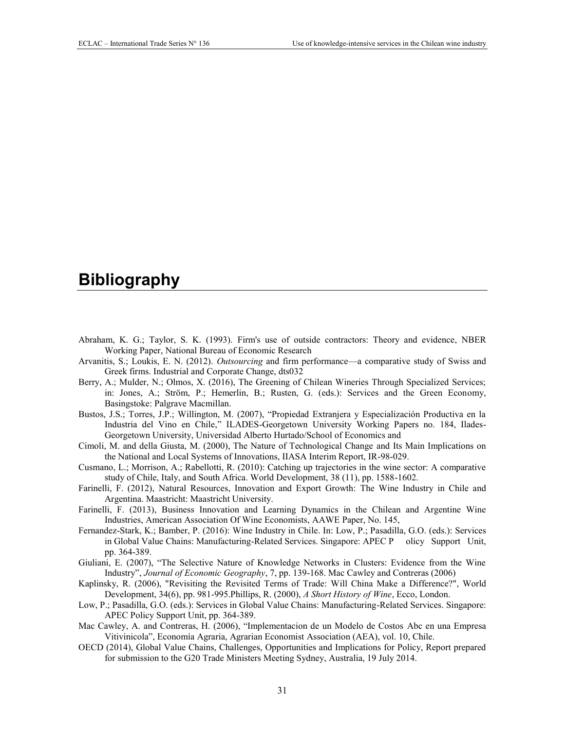# <span id="page-31-0"></span>**Bibliography**

- Abraham, K. G.; Taylor, S. K. (1993). Firm's use of outside contractors: Theory and evidence, NBER Working Paper, National Bureau of Economic Research
- Arvanitis, S.; Loukis, E. N. (2012). *Outsourcing* and firm performance—a comparative study of Swiss and Greek firms. Industrial and Corporate Change, dts032
- Berry, A.; Mulder, N.; Olmos, X. (2016), The Greening of Chilean Wineries Through Specialized Services; in: Jones, A.; Ström, P.; Hemerlin, B.; Rusten, G. (eds.): Services and the Green Economy, Basingstoke: Palgrave Macmillan.
- Bustos, J.S.; Torres, J.P.; Willington, M. (2007), "Propiedad Extranjera y Especialización Productiva en la Industria del Vino en Chile," ILADES-Georgetown University Working Papers no. 184, Ilades-Georgetown University, Universidad Alberto Hurtado/School of Economics and
- Cimoli, M. and della Giusta, M. (2000), The Nature of Technological Change and Its Main Implications on the National and Local Systems of Innovations, IIASA Interim Report, IR-98-029.
- Cusmano, L.; Morrison, A.; Rabellotti, R. (2010): Catching up trajectories in the wine sector: A comparative study of Chile, Italy, and South Africa. World Development, 38 (11), pp. 1588-1602.
- Farinelli, F. (2012), Natural Resources, Innovation and Export Growth: The Wine Industry in Chile and Argentina. Maastricht: Maastricht University.
- Farinelli, F. (2013), Business Innovation and Learning Dynamics in the Chilean and Argentine Wine Industries, American Association Of Wine Economists, AAWE Paper, No. 145,
- Fernandez-Stark, K.; Bamber, P. (2016): Wine Industry in Chile. In: Low, P.; Pasadilla, G.O. (eds.): Services in Global Value Chains: Manufacturing-Related Services. Singapore: APEC P olicy Support Unit, pp. 364-389.
- Giuliani, E. (2007), "The Selective Nature of Knowledge Networks in Clusters: Evidence from the Wine Industry", *Journal of Economic Geography*, 7, pp. 139-168. Mac Cawley and Contreras (2006)
- Kaplinsky, R. (2006), "Revisiting the Revisited Terms of Trade: Will China Make a Difference?", World Development, 34(6), pp. 981-995.Phillips, R. (2000), *A Short History of Wine*, Ecco, London.
- Low, P.; Pasadilla, G.O. (eds.): Services in Global Value Chains: Manufacturing-Related Services. Singapore: APEC Policy Support Unit, pp. 364-389.
- Mac Cawley, A. and Contreras, H. (2006), "Implementacion de un Modelo de Costos Abc en una Empresa Vitivinicola", Economía Agraria, Agrarian Economist Association (AEA), vol. 10, Chile.
- OECD (2014), Global Value Chains, Challenges, Opportunities and Implications for Policy, Report prepared for submission to the G20 Trade Ministers Meeting Sydney, Australia, 19 July 2014.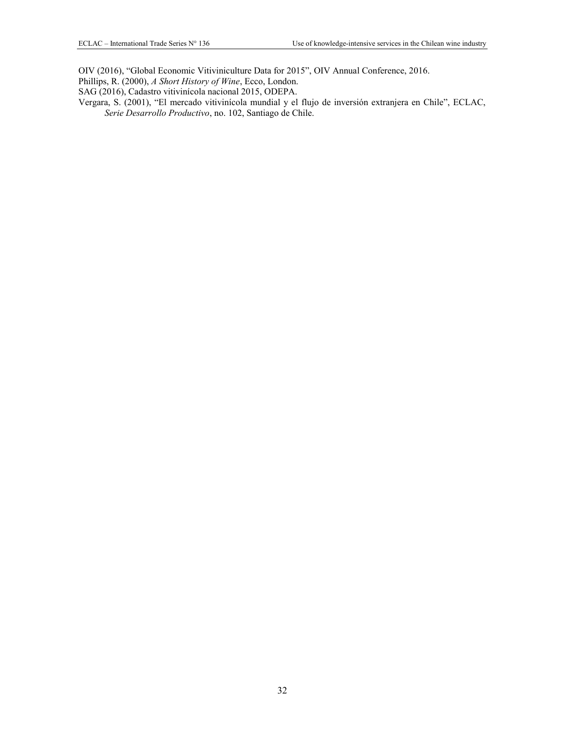OIV (2016), "Global Economic Vitiviniculture Data for 2015", OIV Annual Conference, 2016.

Phillips, R. (2000), *A Short History of Wine*, Ecco, London.

SAG (2016), Cadastro vitivinícola nacional 2015, ODEPA.

Vergara, S. (2001), "El mercado vitivinícola mundial y el flujo de inversión extranjera en Chile", ECLAC, *Serie Desarrollo Productivo*, no. 102, Santiago de Chile.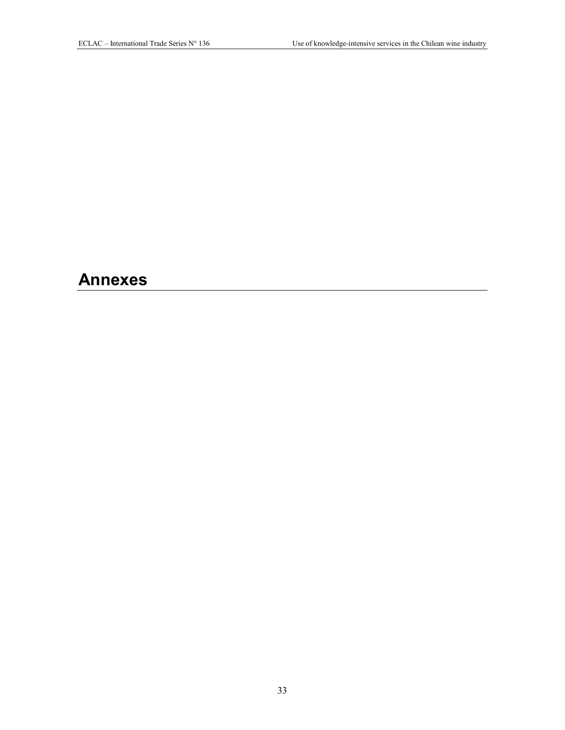# <span id="page-33-0"></span>**Annexes**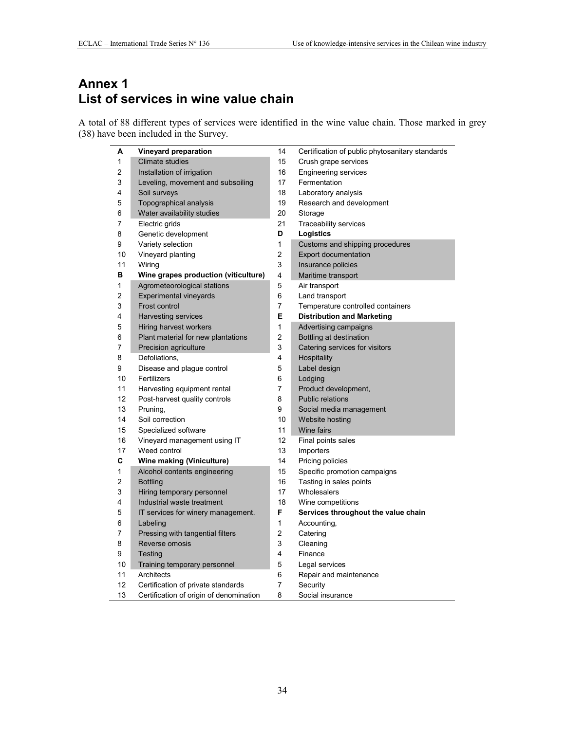# **Annex 1 List of services in wine value chain**

A total of 88 different types of services were identified in the wine value chain. Those marked in grey (38) have been included in the Survey.

| А  | Vineyard preparation                    | 14             | Certification of public phytosanitary standards |
|----|-----------------------------------------|----------------|-------------------------------------------------|
| 1  | <b>Climate studies</b>                  | 15             | Crush grape services                            |
| 2  | Installation of irrigation              | 16             | <b>Engineering services</b>                     |
| 3  | Leveling, movement and subsoiling       | 17             | Fermentation                                    |
| 4  | Soil surveys                            | 18             | Laboratory analysis                             |
| 5  | Topographical analysis                  | 19             | Research and development                        |
| 6  | Water availability studies              | 20             | Storage                                         |
| 7  | Electric grids                          | 21             | Traceability services                           |
| 8  | Genetic development                     | D              | Logistics                                       |
| 9  | Variety selection                       | 1              | Customs and shipping procedures                 |
| 10 | Vineyard planting                       | $\overline{2}$ | <b>Export documentation</b>                     |
| 11 | Wiring                                  | 3              | Insurance policies                              |
| в  | Wine grapes production (viticulture)    | 4              | Maritime transport                              |
| 1  | Agrometeorological stations             | 5              | Air transport                                   |
| 2  | <b>Experimental vineyards</b>           | 6              | Land transport                                  |
| 3  | Frost control                           | 7              | Temperature controlled containers               |
| 4  | Harvesting services                     | E              | <b>Distribution and Marketing</b>               |
| 5  | Hiring harvest workers                  | 1              | Advertising campaigns                           |
| 6  | Plant material for new plantations      | $\overline{c}$ | Bottling at destination                         |
| 7  | Precision agriculture                   | 3              | Catering services for visitors                  |
| 8  | Defoliations,                           | 4              | Hospitality                                     |
| 9  | Disease and plague control              | 5              | Label design                                    |
| 10 | Fertilizers                             | 6              | Lodging                                         |
| 11 | Harvesting equipment rental             | 7              | Product development,                            |
| 12 | Post-harvest quality controls           | 8              | <b>Public relations</b>                         |
| 13 | Pruning,                                | 9              | Social media management                         |
| 14 | Soil correction                         | 10             | Website hosting                                 |
| 15 | Specialized software                    | 11             | Wine fairs                                      |
| 16 | Vineyard management using IT            | 12             | Final points sales                              |
| 17 | Weed control                            | 13             | Importers                                       |
| C  | Wine making (Viniculture)               | 14             | Pricing policies                                |
| 1  | Alcohol contents engineering            | 15             | Specific promotion campaigns                    |
| 2  | <b>Bottling</b>                         | 16             | Tasting in sales points                         |
| 3  | Hiring temporary personnel              | 17             | Wholesalers                                     |
| 4  | Industrial waste treatment              | 18             | Wine competitions                               |
| 5  | IT services for winery management.      | F              | Services throughout the value chain             |
| 6  | Labeling                                | 1              | Accounting,                                     |
| 7  | Pressing with tangential filters        | $\overline{2}$ | Catering                                        |
| 8  | Reverse omosis                          | 3              | Cleaning                                        |
| 9  | Testing                                 | 4              | Finance                                         |
| 10 | Training temporary personnel            | 5              | Legal services                                  |
| 11 | Architects                              | 6              | Repair and maintenance                          |
| 12 | Certification of private standards      | 7              | Security                                        |
| 13 | Certification of origin of denomination | 8              | Social insurance                                |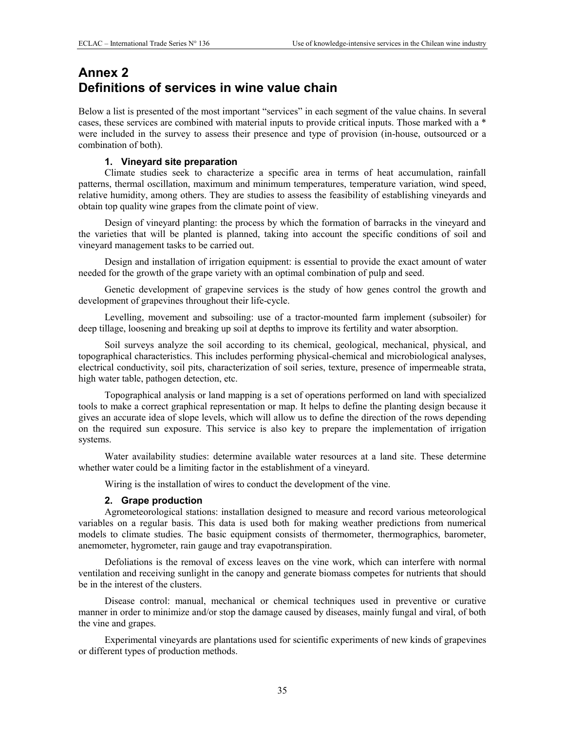# **Annex 2 Definitions of services in wine value chain**

Below a list is presented of the most important "services" in each segment of the value chains. In several cases, these services are combined with material inputs to provide critical inputs. Those marked with a \* were included in the survey to assess their presence and type of provision (in-house, outsourced or a combination of both).

### **1. Vineyard site preparation**

Climate studies seek to characterize a specific area in terms of heat accumulation, rainfall patterns, thermal oscillation, maximum and minimum temperatures, temperature variation, wind speed, relative humidity, among others. They are studies to assess the feasibility of establishing vineyards and obtain top quality wine grapes from the climate point of view.

Design of vineyard planting: the process by which the formation of barracks in the vineyard and the varieties that will be planted is planned, taking into account the specific conditions of soil and vineyard management tasks to be carried out.

Design and installation of irrigation equipment: is essential to provide the exact amount of water needed for the growth of the grape variety with an optimal combination of pulp and seed.

Genetic development of grapevine services is the study of how genes control the growth and development of grapevines throughout their life-cycle.

Levelling, movement and subsoiling: use of a tractor-mounted farm implement (subsoiler) for deep tillage, loosening and breaking up soil at depths to improve its fertility and water absorption.

Soil surveys analyze the soil according to its chemical, geological, mechanical, physical, and topographical characteristics. This includes performing physical-chemical and microbiological analyses, electrical conductivity, soil pits, characterization of soil series, texture, presence of impermeable strata, high water table, pathogen detection, etc.

Topographical analysis or land mapping is a set of operations performed on land with specialized tools to make a correct graphical representation or map. It helps to define the planting design because it gives an accurate idea of slope levels, which will allow us to define the direction of the rows depending on the required sun exposure. This service is also key to prepare the implementation of irrigation systems.

Water availability studies: determine available water resources at a land site. These determine whether water could be a limiting factor in the establishment of a vineyard.

Wiring is the installation of wires to conduct the development of the vine.

### **2. Grape production**

Agrometeorological stations: installation designed to measure and record various meteorological variables on a regular basis. This data is used both for making weather predictions from numerical models to climate studies. The basic equipment consists of thermometer, thermographics, barometer, anemometer, hygrometer, rain gauge and tray evapotranspiration.

Defoliations is the removal of excess leaves on the vine work, which can interfere with normal ventilation and receiving sunlight in the canopy and generate biomass competes for nutrients that should be in the interest of the clusters.

Disease control: manual, mechanical or chemical techniques used in preventive or curative manner in order to minimize and/or stop the damage caused by diseases, mainly fungal and viral, of both the vine and grapes.

Experimental vineyards are plantations used for scientific experiments of new kinds of grapevines or different types of production methods.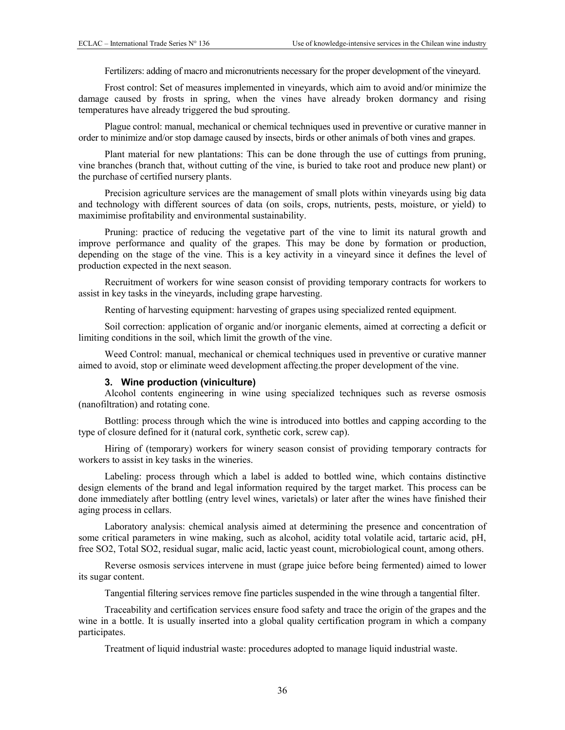Fertilizers: adding of macro and micronutrients necessary for the proper development of the vineyard.

Frost control: Set of measures implemented in vineyards, which aim to avoid and/or minimize the damage caused by frosts in spring, when the vines have already broken dormancy and rising temperatures have already triggered the bud sprouting.

Plague control: manual, mechanical or chemical techniques used in preventive or curative manner in order to minimize and/or stop damage caused by insects, birds or other animals of both vines and grapes.

Plant material for new plantations: This can be done through the use of cuttings from pruning, vine branches (branch that, without cutting of the vine, is buried to take root and produce new plant) or the purchase of certified nursery plants.

Precision agriculture services are the management of small plots within vineyards using big data and technology with different sources of data (on soils, crops, nutrients, pests, moisture, or yield) to maximimise profitability and environmental sustainability.

Pruning: practice of reducing the vegetative part of the vine to limit its natural growth and improve performance and quality of the grapes. This may be done by formation or production, depending on the stage of the vine. This is a key activity in a vineyard since it defines the level of production expected in the next season.

Recruitment of workers for wine season consist of providing temporary contracts for workers to assist in key tasks in the vineyards, including grape harvesting.

Renting of harvesting equipment: harvesting of grapes using specialized rented equipment.

Soil correction: application of organic and/or inorganic elements, aimed at correcting a deficit or limiting conditions in the soil, which limit the growth of the vine.

Weed Control: manual, mechanical or chemical techniques used in preventive or curative manner aimed to avoid, stop or eliminate weed development affecting.the proper development of the vine.

### **3. Wine production (viniculture)**

Alcohol contents engineering in wine using specialized techniques such as reverse osmosis (nanofiltration) and rotating cone.

Bottling: process through which the wine is introduced into bottles and capping according to the type of closure defined for it (natural cork, synthetic cork, screw cap).

Hiring of (temporary) workers for winery season consist of providing temporary contracts for workers to assist in key tasks in the wineries.

Labeling: process through which a label is added to bottled wine, which contains distinctive design elements of the brand and legal information required by the target market. This process can be done immediately after bottling (entry level wines, varietals) or later after the wines have finished their aging process in cellars.

Laboratory analysis: chemical analysis aimed at determining the presence and concentration of some critical parameters in wine making, such as alcohol, acidity total volatile acid, tartaric acid, pH, free SO2, Total SO2, residual sugar, malic acid, lactic yeast count, microbiological count, among others.

Reverse osmosis services intervene in must (grape juice before being fermented) aimed to lower its sugar content.

Tangential filtering services remove fine particles suspended in the wine through a tangential filter.

Traceability and certification services ensure food safety and trace the origin of the grapes and the wine in a bottle. It is usually inserted into a global quality certification program in which a company participates.

Treatment of liquid industrial waste: procedures adopted to manage liquid industrial waste.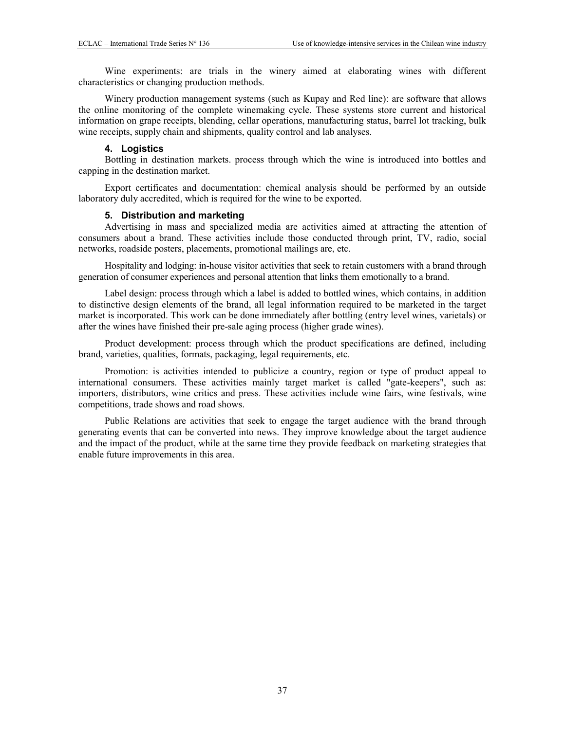Wine experiments: are trials in the winery aimed at elaborating wines with different characteristics or changing production methods.

Winery production management systems (such as Kupay and Red line): are software that allows the online monitoring of the complete winemaking cycle. These systems store current and historical information on grape receipts, blending, cellar operations, manufacturing status, barrel lot tracking, bulk wine receipts, supply chain and shipments, quality control and lab analyses.

### **4. Logistics**

Bottling in destination markets. process through which the wine is introduced into bottles and capping in the destination market.

Export certificates and documentation: chemical analysis should be performed by an outside laboratory duly accredited, which is required for the wine to be exported.

### **5. Distribution and marketing**

Advertising in mass and specialized media are activities aimed at attracting the attention of consumers about a brand. These activities include those conducted through print, TV, radio, social networks, roadside posters, placements, promotional mailings are, etc.

Hospitality and lodging: in-house visitor activities that seek to retain customers with a brand through generation of consumer experiences and personal attention that links them emotionally to a brand.

Label design: process through which a label is added to bottled wines, which contains, in addition to distinctive design elements of the brand, all legal information required to be marketed in the target market is incorporated. This work can be done immediately after bottling (entry level wines, varietals) or after the wines have finished their pre-sale aging process (higher grade wines).

Product development: process through which the product specifications are defined, including brand, varieties, qualities, formats, packaging, legal requirements, etc.

Promotion: is activities intended to publicize a country, region or type of product appeal to international consumers. These activities mainly target market is called "gate-keepers", such as: importers, distributors, wine critics and press. These activities include wine fairs, wine festivals, wine competitions, trade shows and road shows.

Public Relations are activities that seek to engage the target audience with the brand through generating events that can be converted into news. They improve knowledge about the target audience and the impact of the product, while at the same time they provide feedback on marketing strategies that enable future improvements in this area.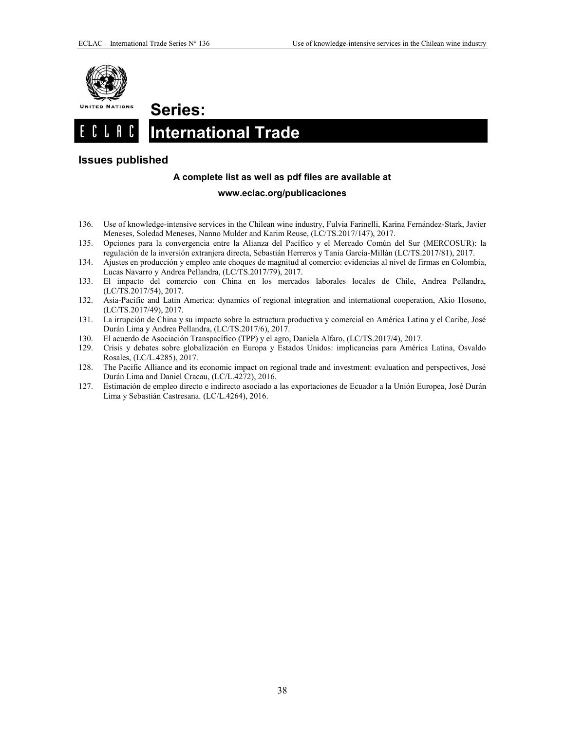

**Series:** 

### <span id="page-38-1"></span><span id="page-38-0"></span> $CL$   $R$   $C$ **International Trade.**

### <span id="page-38-2"></span>**Issues published**

### **A complete list as well as pdf files are available at**

### **www.eclac.org/publicaciones**

- 136. Use of knowledge-intensive services in the Chilean wine industry, Fulvia Farinelli, Karina Fernández-Stark, Javier Meneses, Soledad Meneses, Nanno Mulder and Karim Reuse, (LC/TS.2017/147), 2017.
- 135. Opciones para la convergencia entre la Alianza del Pacífico y el Mercado Común del Sur (MERCOSUR): la regulación de la inversión extranjera directa, Sebastián Herreros y Tania García-Millán (LC/TS.2017/81), 2017.
- 134. Ajustes en producción y empleo ante choques de magnitud al comercio: evidencias al nivel de firmas en Colombia, Lucas Navarro y Andrea Pellandra, (LC/TS.2017/79), 2017.
- 133. El impacto del comercio con China en los mercados laborales locales de Chile, Andrea Pellandra, (LC/TS.2017/54), 2017.
- 132. Asia-Pacific and Latin America: dynamics of regional integration and international cooperation, Akio Hosono, (LC/TS.2017/49), 2017.
- 131. La irrupción de China y su impacto sobre la estructura productiva y comercial en América Latina y el Caribe, José Durán Lima y Andrea Pellandra, (LC/TS.2017/6), 2017.
- 130. El acuerdo de Asociación Transpacífico (TPP) y el agro, Daniela Alfaro, (LC/TS.2017/4), 2017.
- 129. Crisis y debates sobre globalización en Europa y Estados Unidos: implicancias para América Latina, Osvaldo Rosales, (LC/L.4285), 2017.
- 128. The Pacific Alliance and its economic impact on regional trade and investment: evaluation and perspectives, José Durán Lima and Daniel Cracau, (LC/L.4272), 2016.
- 127. Estimación de empleo directo e indirecto asociado a las exportaciones de Ecuador a la Unión Europea, José Durán Lima y Sebastián Castresana. (LC/L.4264), 2016.